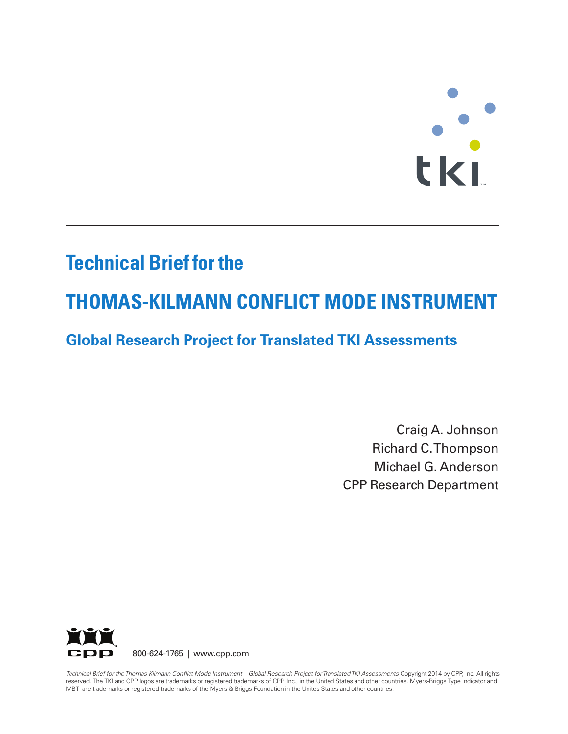# **TERES**

# **Technical Brief for the**

# **THOMAS-KILMANN CONFLICT MODE INSTRUMENT**

# **Global Research Project for Translated TKI Assessments**

Craig A. Johnson Richard C.Thompson Michael G. Anderson CPP Research Department



Technical Brief for the Thomas-Kilmann Conflict Mode Instrument-Global Research Project for Translated TKI Assessments Copyright 2014 by CPP, Inc. All rights reserved. The TKI and CPP logos are trademarks or registered trademarks of CPP, Inc., in the United States and other countries. Myers-Briggs Type Indicator and MBTI are trademarks or registered trademarks of the Myers & Briggs Foundation in the Unites States and other countries.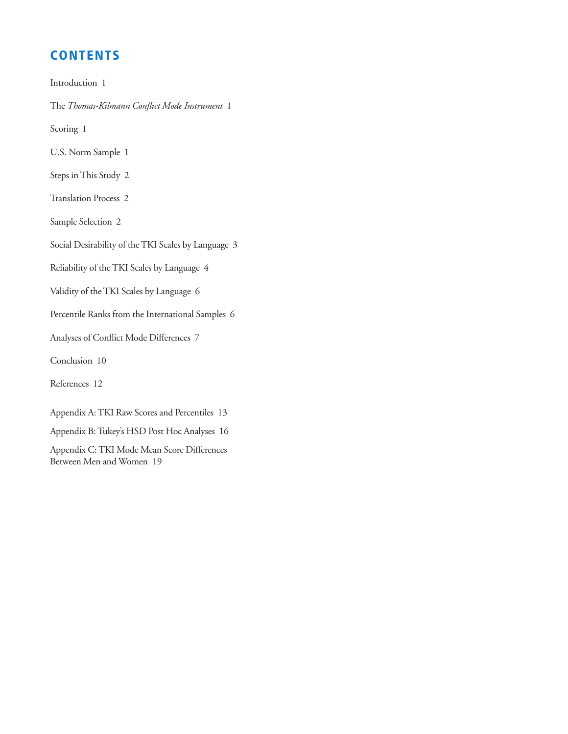# **CONTENTS**

Introduction 1

The *Thomas-Kilmann Conflict Mode Instrument* 1

Scoring 1

U.S. Norm Sample 1

Steps inThis Study 2

Translation Process 2

Sample Selection 2

Social Desirability of the TKI Scales by Language 3

Reliability of theTKI Scales by Language 4

Validity of theTKI Scales by Language 6

Percentile Ranks from the International Samples 6

Analyses of Conflict Mode Differences 7

Conclusion 10

References 12

Appendix A:TKI Raw Scores and Percentiles 13

Appendix B: Tukey's HSD Post Hoc Analyses 16

Appendix C:TKI Mode Mean Score Differences Between Men and Women 19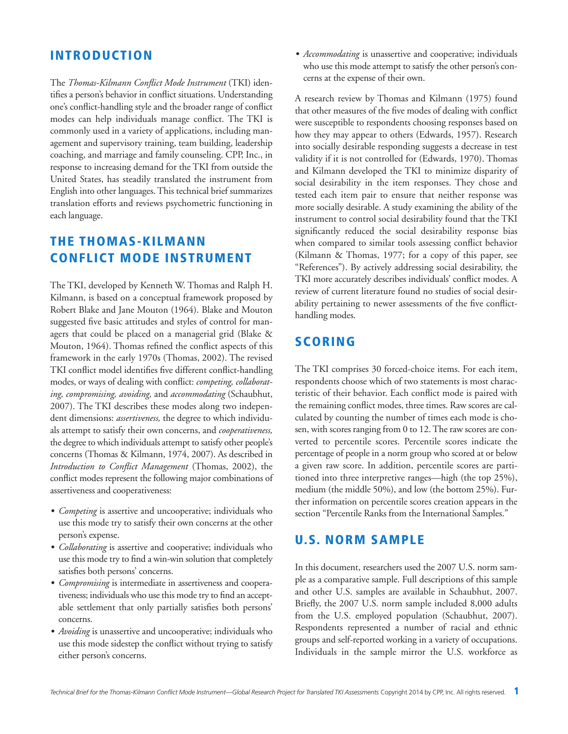#### **INTRODUCTION**

The *Thomas-Kilmann Conflict Mode Instrument* (TKI) identifies a person's behavior in conflict situations. Understanding one's conflict-handling style and the broader range of conflict modes can help individuals manage conflict. The TKI is commonly used in a variety of applications, including management and supervisory training, team building, leadership coaching, and marriage and family counseling. CPP, Inc., in response to increasing demand for the TKI from outside the United States, has steadily translated the instrument from English into other languages.This technical brief summarizes translation efforts and reviews psychometric functioning in each language.

# **THE THOMAS-KILMANN CONFLICT MODE INSTRUMENT**

The TKI, developed by Kenneth W. Thomas and Ralph H. Kilmann, is based on a conceptual framework proposed by Robert Blake and Jane Mouton (1964). Blake and Mouton suggested five basic attitudes and styles of control for managers that could be placed on a managerial grid (Blake & Mouton, 1964). Thomas refined the conflict aspects of this framework in the early 1970s (Thomas, 2002). The revised TKI conflict model identifies five different conflict-handling modes, or ways of dealing with conflict: *competing, collaborating, compromising, avoiding,* and *accommodating* (Schaubhut, 2007). The TKI describes these modes along two independent dimensions: *assertiveness,* the degree to which individuals attempt to satisfy their own concerns, and *cooperativeness,* the degree to which individuals attempt to satisfy other people's concerns (Thomas & Kilmann, 1974, 2007). As described in *Introduction to Conflict Management* (Thomas, 2002), the conflict modes represent the following major combinations of assertiveness and cooperativeness:

- *Competing* is assertive and uncooperative; individuals who use this mode try to satisfy their own concerns at the other person's expense.
- *Collaborating* is assertive and cooperative; individuals who use this mode try to find a win-win solution that completely satisfies both persons' concerns.
- *Compromising* is intermediate in assertiveness and cooperativeness; individuals who use this mode try to find an acceptable settlement that only partially satisfies both persons' concerns.
- *Avoiding* is unassertive and uncooperative; individuals who use this mode sidestep the conflict without trying to satisfy either person's concerns.

• *Accommodating* is unassertive and cooperative; individuals who use this mode attempt to satisfy the other person's concerns at the expense of their own.

A research review by Thomas and Kilmann (1975) found that other measures of the five modes of dealing with conflict were susceptible to respondents choosing responses based on how they may appear to others (Edwards, 1957). Research into socially desirable responding suggests a decrease in test validity if it is not controlled for (Edwards, 1970). Thomas and Kilmann developed the TKI to minimize disparity of social desirability in the item responses. They chose and tested each item pair to ensure that neither response was more socially desirable. A study examining the ability of the instrument to control social desirability found that the TKI significantly reduced the social desirability response bias when compared to similar tools assessing conflict behavior (Kilmann & Thomas, 1977; for a copy of this paper, see "References"). By actively addressing social desirability, the TKI more accurately describes individuals' conflict modes. A review of current literature found no studies of social desirability pertaining to newer assessments of the five conflicthandling modes.

## **SCORING**

The TKI comprises 30 forced-choice items. For each item, respondents choose which of two statements is most characteristic of their behavior. Each conflict mode is paired with the remaining conflict modes, three times. Raw scores are calculated by counting the number of times each mode is chosen, with scores ranging from 0 to 12. The raw scores are converted to percentile scores. Percentile scores indicate the percentage of people in a norm group who scored at or below a given raw score. In addition, percentile scores are partitioned into three interpretive ranges—high (the top 25%), medium (the middle 50%), and low (the bottom 25%). Further information on percentile scores creation appears in the section "Percentile Ranks from the International Samples."

# **U.S. NORM SAMPLE**

In this document, researchers used the 2007 U.S. norm sample as a comparative sample. Full descriptions of this sample and other U.S. samples are available in Schaubhut, 2007. Briefly, the 2007 U.S. norm sample included 8,000 adults from the U.S. employed population (Schaubhut, 2007). Respondents represented a number of racial and ethnic groups and self-reported working in a variety of occupations. Individuals in the sample mirror the U.S. workforce as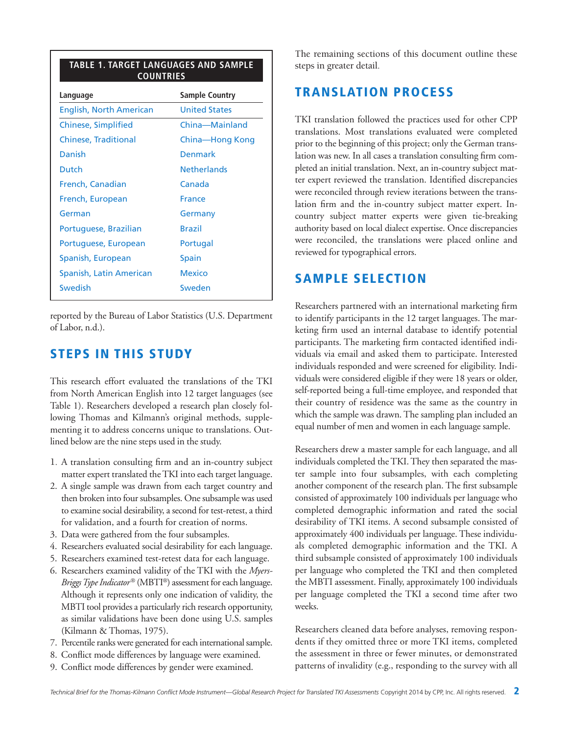| TABLE 1. TARGET LANGUAGES AND SAMPLE<br><b>COUNTRIES</b> |                       |
|----------------------------------------------------------|-----------------------|
| Language                                                 | <b>Sample Country</b> |
| English, North American                                  | <b>United States</b>  |
| Chinese, Simplified                                      | China-Mainland        |
| <b>Chinese, Traditional</b>                              | China-Hong Kong       |
| Danish                                                   | Denmark               |
| Dutch                                                    | <b>Netherlands</b>    |
| French, Canadian                                         | Canada                |
| French, European                                         | <b>France</b>         |
| German                                                   | Germany               |
| Portuguese, Brazilian                                    | <b>Rrazil</b>         |
| Portuguese, European                                     | Portugal              |
| Spanish, European                                        | <b>Spain</b>          |
| Spanish, Latin American                                  | <b>Mexico</b>         |
| Swedish                                                  | Sweden                |
|                                                          |                       |

reported by the Bureau of Labor Statistics (U.S. Department of Labor, n.d.).

#### **STEPS IN THIS STUDY**

This research effort evaluated the translations of the TKI from North American English into 12 target languages (see Table 1). Researchers developed a research plan closely following Thomas and Kilmann's original methods, supplementing it to address concerns unique to translations. Outlined below are the nine steps used in the study.

- 1. A translation consulting firm and an in-country subject matter expert translated the TKI into each target language.
- 2. A single sample was drawn from each target country and then broken into four subsamples. One subsample was used to examine social desirability, a second for test-retest, a third for validation, and a fourth for creation of norms.
- 3. Data were gathered from the four subsamples.
- 4. Researchers evaluated social desirability for each language.
- 5. Researchers examined test-retest data for each language.
- 6. Researchers examined validity of the TKI with the *Myers-Briggs Type Indicator®* (MBTI®) assessment for each language. Although it represents only one indication of validity, the MBTI tool provides a particularly rich research opportunity, as similar validations have been done using U.S. samples (Kilmann & Thomas, 1975).
- 7. Percentile ranks were generated for each international sample.
- 8. Conflict mode differences by language were examined.
- 9. Conflict mode differences by gender were examined.

The remaining sections of this document outline these steps in greater detail.

#### **TRANSLATION PROCESS**

TKI translation followed the practices used for other CPP translations. Most translations evaluated were completed prior to the beginning of this project; only the German translation was new. In all cases a translation consulting firm completed an initial translation. Next, an in-country subject matter expert reviewed the translation. Identified discrepancies were reconciled through review iterations between the translation firm and the in-country subject matter expert. Incountry subject matter experts were given tie-breaking authority based on local dialect expertise. Once discrepancies were reconciled, the translations were placed online and reviewed for typographical errors.

#### **SAMPLE SELECTION**

Researchers partnered with an international marketing firm to identify participants in the 12 target languages. The marketing firm used an internal database to identify potential participants. The marketing firm contacted identified individuals via email and asked them to participate. Interested individuals responded and were screened for eligibility. Individuals were considered eligible if they were 18 years or older, self-reported being a full-time employee, and responded that their country of residence was the same as the country in which the sample was drawn. The sampling plan included an equal number of men and women in each language sample.

Researchers drew a master sample for each language, and all individuals completed the TKI. They then separated the master sample into four subsamples, with each completing another component of the research plan. The first subsample consisted of approximately 100 individuals per language who completed demographic information and rated the social desirability of TKI items. A second subsample consisted of approximately 400 individuals per language. These individuals completed demographic information and the TKI. A third subsample consisted of approximately 100 individuals per language who completed the TKI and then completed the MBTI assessment. Finally, approximately 100 individuals per language completed the TKI a second time after two weeks.

Researchers cleaned data before analyses, removing respondents if they omitted three or more TKI items, completed the assessment in three or fewer minutes, or demonstrated patterns of invalidity (e.g., responding to the survey with all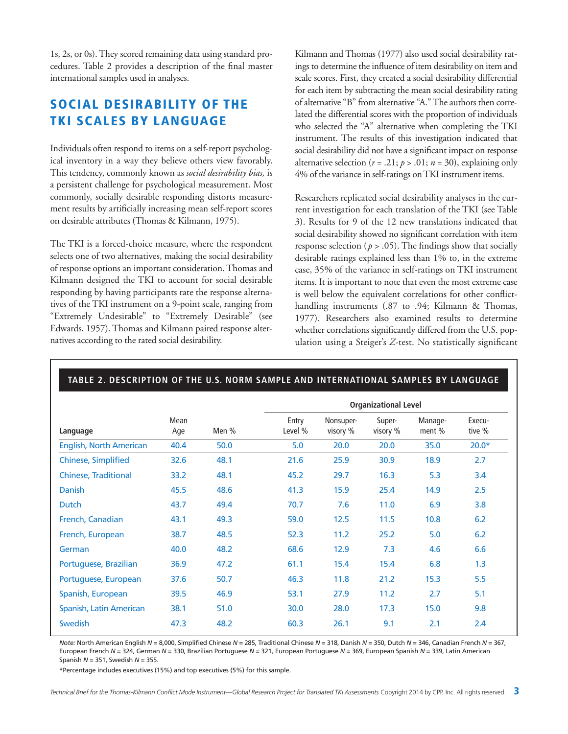1s, 2s, or 0s).They scored remaining data using standard procedures. Table 2 provides a description of the final master international samples used in analyses.

# **SOCIAL DESIRABILITY OF THE TKI SCALES BY LANGUAGE**

Individuals often respond to items on a self-report psychological inventory in a way they believe others view favorably. This tendency, commonly known as *social desirability bias,* is a persistent challenge for psychological measurement. Most commonly, socially desirable responding distorts measurement results by artificially increasing mean self-report scores on desirable attributes (Thomas & Kilmann, 1975).

The TKI is a forced-choice measure, where the respondent selects one of two alternatives, making the social desirability of response options an important consideration. Thomas and Kilmann designed the TKI to account for social desirable responding by having participants rate the response alternatives of the TKI instrument on a 9-point scale, ranging from "Extremely Undesirable" to "Extremely Desirable" (see Edwards, 1957). Thomas and Kilmann paired response alternatives according to the rated social desirability.

Kilmann and Thomas (1977) also used social desirability ratings to determine the influence of item desirability on item and scale scores. First, they created a social desirability differential for each item by subtracting the mean social desirability rating of alternative "B" from alternative "A."The authors then correlated the differential scores with the proportion of individuals who selected the "A" alternative when completing the TKI instrument. The results of this investigation indicated that social desirability did not have a significant impact on response alternative selection ( $r = .21$ ;  $p > .01$ ;  $n = 30$ ), explaining only 4% of the variance in self-ratings on TKI instrument items.

Researchers replicated social desirability analyses in the current investigation for each translation of the TKI (see Table 3). Results for 9 of the 12 new translations indicated that social desirability showed no significant correlation with item response selection ( $p > .05$ ). The findings show that socially desirable ratings explained less than 1% to, in the extreme case, 35% of the variance in self-ratings on TKI instrument items. It is important to note that even the most extreme case is well below the equivalent correlations for other conflicthandling instruments (.87 to .94; Kilmann & Thomas, 1977). Researchers also examined results to determine whether correlations significantly differed from the U.S. population using a Steiger's *Z*-test. No statistically significant

|                             |             |       |                  |                       | <b>Organizational Level</b> |                   |                  |
|-----------------------------|-------------|-------|------------------|-----------------------|-----------------------------|-------------------|------------------|
| Language                    | Mean<br>Age | Men % | Entry<br>Level % | Nonsuper-<br>visory % | Super-<br>visory %          | Manage-<br>ment % | Execu-<br>tive % |
| English, North American     | 40.4        | 50.0  | 5.0              | 20.0                  | 20.0                        | 35.0              | $20.0*$          |
| <b>Chinese, Simplified</b>  | 32.6        | 48.1  | 21.6             | 25.9                  | 30.9                        | 18.9              | 2.7              |
| <b>Chinese, Traditional</b> | 33.2        | 48.1  | 45.2             | 29.7                  | 16.3                        | 5.3               | 3.4              |
| <b>Danish</b>               | 45.5        | 48.6  | 41.3             | 15.9                  | 25.4                        | 14.9              | 2.5              |
| Dutch                       | 43.7        | 49.4  | 70.7             | 7.6                   | 11.0                        | 6.9               | 3.8              |
| French, Canadian            | 43.1        | 49.3  | 59.0             | 12.5                  | 11.5                        | 10.8              | 6.2              |
| French, European            | 38.7        | 48.5  | 52.3             | 11.2                  | 25.2                        | 5.0               | 6.2              |
| German                      | 40.0        | 48.2  | 68.6             | 12.9                  | 7.3                         | 4.6               | 6.6              |
| Portuguese, Brazilian       | 36.9        | 47.2  | 61.1             | 15.4                  | 15.4                        | 6.8               | 1.3              |
| Portuguese, European        | 37.6        | 50.7  | 46.3             | 11.8                  | 21.2                        | 15.3              | 5.5              |
| Spanish, European           | 39.5        | 46.9  | 53.1             | 27.9                  | 11.2                        | 2.7               | 5.1              |
| Spanish, Latin American     | 38.1        | 51.0  | 30.0             | 28.0                  | 17.3                        | 15.0              | 9.8              |
| <b>Swedish</b>              | 47.3        | 48.2  | 60.3             | 26.1                  | 9.1                         | 2.1               | 2.4              |

*Note:* North American English *N* = 8,000, Simplified Chinese *N* = 285, Traditional Chinese *N* = 318, Danish *N* = 350, Dutch *N* = 346, Canadian French *N* = 367, European French *N* = 324, German *N* = 330, Brazilian Portuguese *N* = 321, European Portuguese *N* = 369, European Spanish *N* = 339, Latin American Spanish *N* = 351, Swedish *N* = 355.

\*Percentage includes executives (15%) and top executives (5%) for this sample.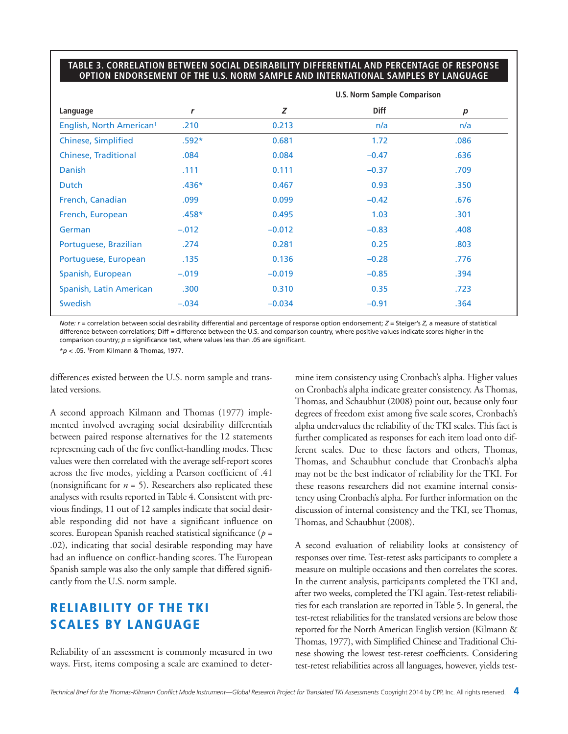#### **TABLE 3. CORRELATION BETWEEN SOCIAL DESIRABILITY DIFFERENTIAL AND PERCENTAGE OF RESPONSE OPTION ENDORSEMENT OF THE U.S. NORM SAMPLE AND INTERNATIONAL SAMPLES BY LANGUAGE**

|                                      |              |          | <b>U.S. Norm Sample Comparison</b> |      |
|--------------------------------------|--------------|----------|------------------------------------|------|
| Language                             | $\mathbf{r}$ | Z        | <b>Diff</b>                        | p    |
| English, North American <sup>1</sup> | .210         | 0.213    | n/a                                | n/a  |
| <b>Chinese, Simplified</b>           | $.592*$      | 0.681    | 1.72                               | .086 |
| <b>Chinese, Traditional</b>          | .084         | 0.084    | $-0.47$                            | .636 |
| <b>Danish</b>                        | .111         | 0.111    | $-0.37$                            | .709 |
| <b>Dutch</b>                         | $.436*$      | 0.467    | 0.93                               | .350 |
| French, Canadian                     | .099         | 0.099    | $-0.42$                            | .676 |
| French, European                     | $.458*$      | 0.495    | 1.03                               | .301 |
| German                               | $-.012$      | $-0.012$ | $-0.83$                            | .408 |
| Portuguese, Brazilian                | .274         | 0.281    | 0.25                               | .803 |
| Portuguese, European                 | .135         | 0.136    | $-0.28$                            | .776 |
| Spanish, European                    | $-.019$      | $-0.019$ | $-0.85$                            | .394 |
| Spanish, Latin American              | .300         | 0.310    | 0.35                               | .723 |
| <b>Swedish</b>                       | $-.034$      | $-0.034$ | $-0.91$                            | .364 |

*Note: r* = correlation between social desirability differential and percentage of response option endorsement; *Z* = Steiger's *Z,* a measure of statistical difference between correlations; Diff = difference between the U.S. and comparison country, where positive values indicate scores higher in the comparison country; *p* = significance test, where values less than .05 are significant.

\**p* < .05. 1From Kilmann & Thomas, 1977.

differences existed between the U.S. norm sample and translated versions.

A second approach Kilmann and Thomas (1977) implemented involved averaging social desirability differentials between paired response alternatives for the 12 statements representing each of the five conflict-handling modes. These values were then correlated with the average self-report scores across the five modes, yielding a Pearson coefficient of .41 (nonsignificant for  $n = 5$ ). Researchers also replicated these analyses with results reported inTable 4. Consistent with previous findings, 11 out of 12 samples indicate that social desirable responding did not have a significant influence on scores. European Spanish reached statistical significance (*p* = .02), indicating that social desirable responding may have had an influence on conflict-handing scores. The European Spanish sample was also the only sample that differed significantly from the U.S. norm sample.

# **RELIABILITY OF THE TKI SCALES BY LANGUAGE**

Reliability of an assessment is commonly measured in two ways. First, items composing a scale are examined to determine item consistency using Cronbach's alpha. Higher values on Cronbach's alpha indicate greater consistency. AsThomas, Thomas, and Schaubhut (2008) point out, because only four degrees of freedom exist among five scale scores, Cronbach's alpha undervalues the reliability of the TKI scales. This fact is further complicated as responses for each item load onto different scales. Due to these factors and others, Thomas, Thomas, and Schaubhut conclude that Cronbach's alpha may not be the best indicator of reliability for the TKI. For these reasons researchers did not examine internal consistency using Cronbach's alpha. For further information on the discussion of internal consistency and the TKI, see Thomas, Thomas, and Schaubhut (2008).

A second evaluation of reliability looks at consistency of responses over time. Test-retest asks participants to complete a measure on multiple occasions and then correlates the scores. In the current analysis, participants completed the TKI and, after two weeks, completed theTKI again.Test-retest reliabilities for each translation are reported inTable 5. In general, the test-retest reliabilities for the translated versions are below those reported for the North American English version (Kilmann & Thomas, 1977), with Simplified Chinese and Traditional Chinese showing the lowest test-retest coefficients. Considering test-retest reliabilities across all languages, however, yields test-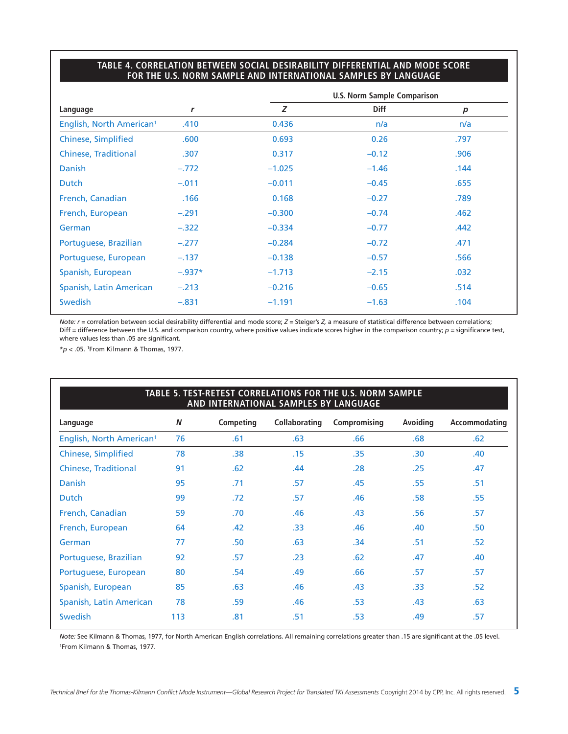#### **TABLE 4. CORRELATION BETWEEN SOCIAL DESIRABILITY DIFFERENTIAL AND MODE SCORE FOR THE U.S. NORM SAMPLE AND INTERNATIONAL SAMPLES BY LANGUAGE**

|                                      |          |          | <b>U.S. Norm Sample Comparison</b> |      |
|--------------------------------------|----------|----------|------------------------------------|------|
| Language                             | r        | Z        | Diff                               | p    |
| English, North American <sup>1</sup> | .410     | 0.436    | n/a                                | n/a  |
| Chinese, Simplified                  | .600     | 0.693    | 0.26                               | .797 |
| <b>Chinese, Traditional</b>          | .307     | 0.317    | $-0.12$                            | .906 |
| Danish                               | $-.772$  | $-1.025$ | $-1.46$                            | .144 |
| <b>Dutch</b>                         | $-.011$  | $-0.011$ | $-0.45$                            | .655 |
| French, Canadian                     | .166     | 0.168    | $-0.27$                            | .789 |
| French, European                     | $-.291$  | $-0.300$ | $-0.74$                            | .462 |
| German                               | $-.322$  | $-0.334$ | $-0.77$                            | .442 |
| Portuguese, Brazilian                | $-.277$  | $-0.284$ | $-0.72$                            | .471 |
| Portuguese, European                 | $-.137$  | $-0.138$ | $-0.57$                            | .566 |
| Spanish, European                    | $-.937*$ | $-1.713$ | $-2.15$                            | .032 |
| Spanish, Latin American              | $-.213$  | $-0.216$ | $-0.65$                            | .514 |
| <b>Swedish</b>                       | $-.831$  | $-1.191$ | $-1.63$                            | .104 |

*Note:*  $r$  = correlation between social desirability differential and mode score;  $Z$  = Steiger's  $Z$ , a measure of statistical difference between correlations; Diff = difference between the U.S. and comparison country, where positive values indicate scores higher in the comparison country;  $p =$  significance test, where values less than .05 are significant.

\**p* < .05. 1From Kilmann & Thomas, 1977.

# **TABLE 5. TEST-RETEST CORRELATIONS FOR THE U.S. NORM SAMPLE AND INTERNATIONAL SAMPLES BY LANGUAGE Language** *N* **Competing Collaborating Compromising Avoiding Accommodating** English, North American1 76 .61 .63 .66 .68 .62 Chinese, Simplified 78 .38 .15 .35 .30 .40 Chinese, Traditional 91 .62 .44 .28 .25 .47 Danish 95 .71 .57 .45 .55 .51 Dutch 99 .72 .57 .46 .58 .55 French, Canadian 59 .70 .46 .43 .56 .57 French, European 64 .42 .33 .46 .40 .50 German 77 .50 .63 .34 .51 .52 Portuguese, Brazilian  $92$  .57 .23 .62 .47 .40 Portuguese, European 80 .54 .49 .66 .57 .57 .57 Spanish, European 85 .63 .46 .43 .33 .52 Spanish, Latin American 78 .59 .46 .53 .43 .63 Swedish 113 .81 .51 .53 .49 .57

*Note:* See Kilmann & Thomas, 1977, for North American English correlations. All remaining correlations greater than .15 are significant at the .05 level. 1From Kilmann & Thomas, 1977.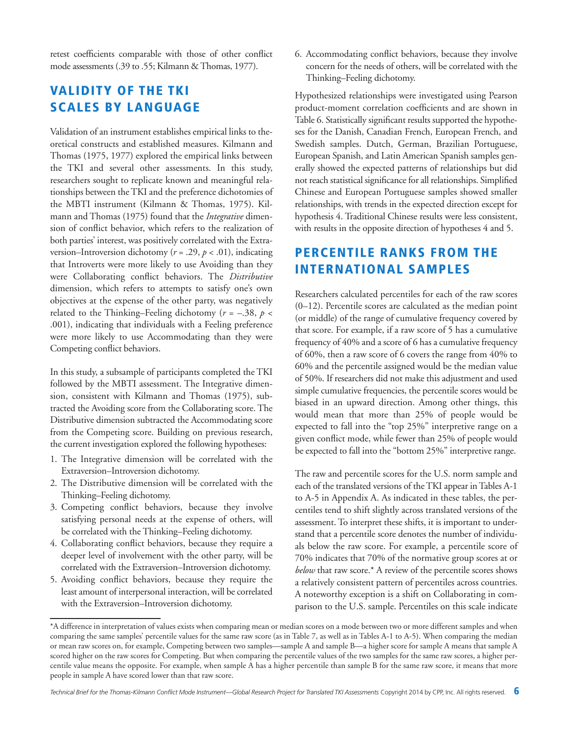retest coefficients comparable with those of other conflict mode assessments (.39 to .55; Kilmann & Thomas, 1977).

## **VALIDITY OF THE TKI SCALES BY LANGUAGE**

Validation of an instrument establishes empirical links to theoretical constructs and established measures. Kilmann and Thomas (1975, 1977) explored the empirical links between the TKI and several other assessments. In this study, researchers sought to replicate known and meaningful relationships between theTKI and the preference dichotomies of the MBTI instrument (Kilmann & Thomas, 1975). Kilmann and Thomas (1975) found that the *Integrative* dimension of conflict behavior, which refers to the realization of both parties' interest, was positively correlated with the Extraversion–Introversion dichotomy (*r* = .29, *p* < .01), indicating that Introverts were more likely to use Avoiding than they were Collaborating conflict behaviors. The *Distributive* dimension, which refers to attempts to satisfy one's own objectives at the expense of the other party, was negatively related to the Thinking–Feeling dichotomy ( $r = -.38$ ,  $p <$ .001), indicating that individuals with a Feeling preference were more likely to use Accommodating than they were Competing conflict behaviors.

In this study, a subsample of participants completed the TKI followed by the MBTI assessment. The Integrative dimension, consistent with Kilmann and Thomas (1975), subtracted the Avoiding score from the Collaborating score. The Distributive dimension subtracted the Accommodating score from the Competing score. Building on previous research, the current investigation explored the following hypotheses:

- 1. The Integrative dimension will be correlated with the Extraversion–Introversion dichotomy.
- 2. The Distributive dimension will be correlated with the Thinking–Feeling dichotomy.
- 3. Competing conflict behaviors, because they involve satisfying personal needs at the expense of others, will be correlated with the Thinking–Feeling dichotomy.
- 4. Collaborating conflict behaviors, because they require a deeper level of involvement with the other party, will be correlated with the Extraversion–Introversion dichotomy.
- 5. Avoiding conflict behaviors, because they require the least amount of interpersonal interaction, will be correlated with the Extraversion–Introversion dichotomy.

6. Accommodating conflict behaviors, because they involve concern for the needs of others, will be correlated with the Thinking–Feeling dichotomy.

Hypothesized relationships were investigated using Pearson product-moment correlation coefficients and are shown in Table 6. Statistically significant results supported the hypotheses for the Danish, Canadian French, European French, and Swedish samples. Dutch, German, Brazilian Portuguese, European Spanish, and Latin American Spanish samples generally showed the expected patterns of relationships but did not reach statistical significance for all relationships. Simplified Chinese and European Portuguese samples showed smaller relationships, with trends in the expected direction except for hypothesis 4. Traditional Chinese results were less consistent, with results in the opposite direction of hypotheses 4 and 5.

# **PERCENTILE RANKS FROM THE INTERNATIONAL SAMPLES**

Researchers calculated percentiles for each of the raw scores (0–12). Percentile scores are calculated as the median point (or middle) of the range of cumulative frequency covered by that score. For example, if a raw score of 5 has a cumulative frequency of 40% and a score of 6 has a cumulative frequency of 60%, then a raw score of 6 covers the range from 40% to 60% and the percentile assigned would be the median value of 50%. If researchers did not make this adjustment and used simple cumulative frequencies, the percentile scores would be biased in an upward direction. Among other things, this would mean that more than 25% of people would be expected to fall into the "top 25%" interpretive range on a given conflict mode, while fewer than 25% of people would be expected to fall into the "bottom 25%" interpretive range.

The raw and percentile scores for the U.S. norm sample and each of the translated versions of the TKI appear in Tables A-1 to A-5 in Appendix A. As indicated in these tables, the percentiles tend to shift slightly across translated versions of the assessment. To interpret these shifts, it is important to understand that a percentile score denotes the number of individuals below the raw score. For example, a percentile score of 70% indicates that 70% of the normative group scores at or *below* that raw score.\* A review of the percentile scores shows a relatively consistent pattern of percentiles across countries. A noteworthy exception is a shift on Collaborating in comparison to the U.S. sample. Percentiles on this scale indicate

<sup>\*</sup>A difference in interpretation of values exists when comparing mean or median scores on a mode between two or more different samples and when comparing the same samples' percentile values for the same raw score (as in Table 7, as well as in Tables A-1 to A-5). When comparing the median or mean raw scores on, for example, Competing between two samples—sample A and sample B—a higher score for sample A means that sample A scored higher on the raw scores for Competing. But when comparing the percentile values of the two samples for the same raw scores, a higher percentile value means the opposite. For example, when sample A has a higher percentile than sample B for the same raw score, it means that more people in sample A have scored lower than that raw score.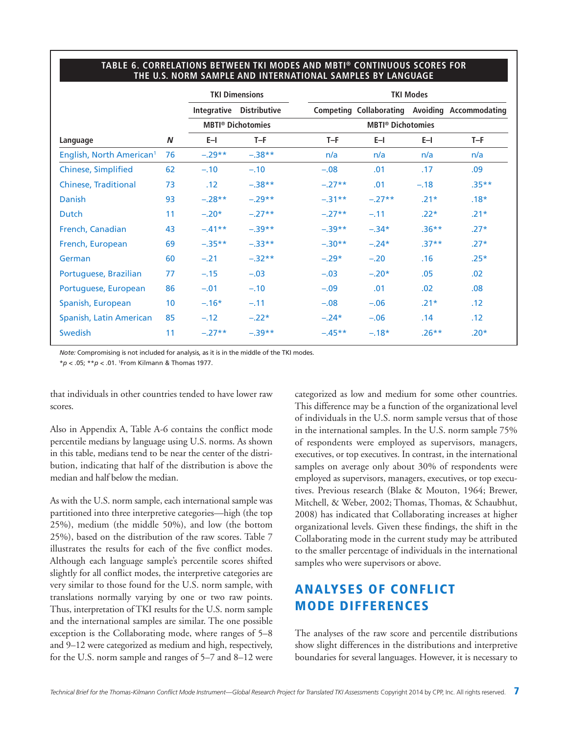#### **TABLE 6. CORRELATIONS BETWEEN TKI MODES AND MBTI ® CONTINUOUS SCORES FOR THE U.S. NORM SAMPLE AND INTERNATIONAL SAMPLES BY LANGUAGE**

|                                      |                 |           | <b>TKI Dimensions</b>               |           |                                     | <b>TKI Modes</b> |                                                       |
|--------------------------------------|-----------------|-----------|-------------------------------------|-----------|-------------------------------------|------------------|-------------------------------------------------------|
|                                      |                 |           | Integrative Distributive            |           |                                     |                  | <b>Competing Collaborating Avoiding Accommodating</b> |
|                                      |                 |           | <b>MBTI<sup>®</sup> Dichotomies</b> |           | <b>MBTI<sup>®</sup> Dichotomies</b> |                  |                                                       |
| Language                             | N               | $E-1$     | $T-F$                               | $T-F$     | $E-1$                               | $E-1$            | $T-F$                                                 |
| English, North American <sup>1</sup> | 76              | $-.29**$  | $-.38**$                            | n/a       | n/a                                 | n/a              | n/a                                                   |
| <b>Chinese, Simplified</b>           | 62              | $-.10$    | $-.10$                              | $-.08$    | .01                                 | .17              | .09                                                   |
| <b>Chinese, Traditional</b>          | 73              | .12       | $-.38**$                            | $-.27**$  | .01                                 | $-.18$           | $.35***$                                              |
| Danish                               | 93              | $-.28**$  | $-.29**$                            | $-.31***$ | $-.27**$                            | $.21*$           | $.18*$                                                |
| <b>Dutch</b>                         | 11              | $-.20*$   | $-.27**$                            | $-.27**$  | $-.11$                              | $.22*$           | $.21*$                                                |
| French, Canadian                     | 43              | $-.41**$  | $-.39**$                            | $-.39**$  | $-.34*$                             | $.36***$         | $.27*$                                                |
| French, European                     | 69              | $-.35***$ | $-.33**$                            | $-.30**$  | $-.24*$                             | $.37**$          | $.27*$                                                |
| German                               | 60              | $-.21$    | $-.32**$                            | $-.29*$   | $-.20$                              | .16              | $.25*$                                                |
| Portuguese, Brazilian                | 77              | $-.15$    | $-.03$                              | $-.03$    | $-.20*$                             | .05              | .02                                                   |
| Portuguese, European                 | 86              | $-.01$    | $-.10$                              | $-.09$    | .01                                 | .02              | .08                                                   |
| Spanish, European                    | 10 <sup>°</sup> | $-.16*$   | $-.11$                              | $-.08$    | $-.06$                              | $.21*$           | .12                                                   |
| Spanish, Latin American              | 85              | $-.12$    | $-.22*$                             | $-.24*$   | $-.06$                              | .14              | .12                                                   |
| Swedish                              | 11              | $-.27**$  | $-.39**$                            | $-.45***$ | $-.18*$                             | $.26***$         | $.20*$                                                |

*Note:* Compromising is not included for analysis, as it is in the middle of the TKI modes.

\**p* < .05; \*\**p* < .01. 1From Kilmann & Thomas 1977.

that individuals in other countries tended to have lower raw scores.

Also in Appendix A, Table A-6 contains the conflict mode percentile medians by language using U.S. norms. As shown in this table, medians tend to be near the center of the distribution, indicating that half of the distribution is above the median and half below the median.

As with the U.S. norm sample, each international sample was partitioned into three interpretive categories—high (the top 25%), medium (the middle 50%), and low (the bottom 25%), based on the distribution of the raw scores. Table 7 illustrates the results for each of the five conflict modes. Although each language sample's percentile scores shifted slightly for all conflict modes, the interpretive categories are very similar to those found for the U.S. norm sample, with translations normally varying by one or two raw points. Thus, interpretation of TKI results for the U.S. norm sample and the international samples are similar. The one possible exception is the Collaborating mode, where ranges of 5–8 and 9–12 were categorized as medium and high, respectively, for the U.S. norm sample and ranges of 5–7 and 8–12 were categorized as low and medium for some other countries. This difference may be a function of the organizational level of individuals in the U.S. norm sample versus that of those in the international samples. In the U.S. norm sample 75% of respondents were employed as supervisors, managers, executives, or top executives. In contrast, in the international samples on average only about 30% of respondents were employed as supervisors, managers, executives, or top executives. Previous research (Blake & Mouton, 1964; Brewer, Mitchell, & Weber, 2002; Thomas, Thomas, & Schaubhut, 2008) has indicated that Collaborating increases at higher organizational levels. Given these findings, the shift in the Collaborating mode in the current study may be attributed to the smaller percentage of individuals in the international samples who were supervisors or above.

# **ANALYSES OF CONFLICT MODE DIFFERENCES**

The analyses of the raw score and percentile distributions show slight differences in the distributions and interpretive boundaries for several languages. However, it is necessary to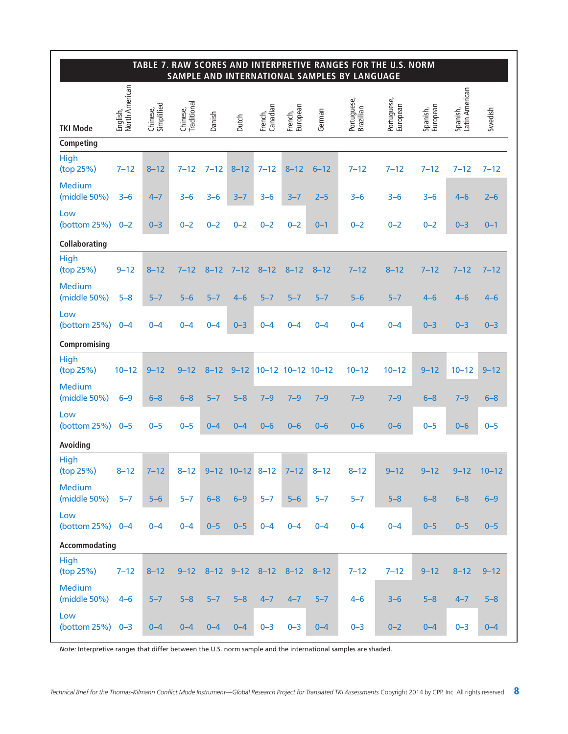|                               |                            |                        |                         |          |                       |                          |                     |          | TABLE 7. RAW SCORES AND INTERPRETIVE RANGES FOR THE U.S. NORM<br>SAMPLE AND INTERNATIONAL SAMPLES BY LANGUAGE |                         |                      |                            |           |
|-------------------------------|----------------------------|------------------------|-------------------------|----------|-----------------------|--------------------------|---------------------|----------|---------------------------------------------------------------------------------------------------------------|-------------------------|----------------------|----------------------------|-----------|
| <b>TKI Mode</b>               | English,<br>North American | Chinese,<br>Simplified | Chinese,<br>Traditional | Danish   | Dutch                 | Canadian<br>French,      | French,<br>European | German   | Portuguese,<br>Brazilian                                                                                      | Portuguese,<br>European | Spanish,<br>European | Spanish,<br>Latin American | Swedish   |
| Competing                     |                            |                        |                         |          |                       |                          |                     |          |                                                                                                               |                         |                      |                            |           |
| High<br>(top 25%)             | $7 - 12$                   | $8 - 12$               | $7 - 12$                | $7 - 12$ | $8 - 12$              | $7 - 12$                 | $8 - 12$            | $6 - 12$ | $7 - 12$                                                                                                      | $7 - 12$                | $7 - 12$             | $7 - 12$                   | $7 - 12$  |
| <b>Medium</b><br>(middle 50%) | $3 - 6$                    | $4 - 7$                | $3 - 6$                 | $3 - 6$  | $3 - 7$               | $3 - 6$                  | $3 - 7$             | $2 - 5$  | $3 - 6$                                                                                                       | $3 - 6$                 | $3 - 6$              | $4 - 6$                    | $2 - 6$   |
| Low<br>(bottom 25%)           | $0 - 2$                    | $0 - 3$                | $0 - 2$                 | $0 - 2$  | $0 - 2$               | $0 - 2$                  | $0 - 2$             | $0 - 1$  | $0 - 2$                                                                                                       | $0 - 2$                 | $0 - 2$              | $0 - 3$                    | $0 - 1$   |
| Collaborating                 |                            |                        |                         |          |                       |                          |                     |          |                                                                                                               |                         |                      |                            |           |
| High<br>(top 25%)             | $9 - 12$                   | $8 - 12$               | $7 - 12$                | $8 - 12$ | $7 - 12$              | $8 - 12$                 | $8 - 12$            | $8 - 12$ | $7 - 12$                                                                                                      | $8 - 12$                | $7 - 12$             | $7 - 12$                   | $7 - 12$  |
| <b>Medium</b><br>(middle 50%) | $5 - 8$                    | $5 - 7$                | $5 - 6$                 | $5 - 7$  | $4 - 6$               | $5 - 7$                  | $5 - 7$             | $5 - 7$  | $5 - 6$                                                                                                       | $5 - 7$                 | $4 - 6$              | $4 - 6$                    | $4 - 6$   |
| Low<br>(bottom 25%)           | $0 - 4$                    | $0 - 4$                | $0 - 4$                 | $0 - 4$  | $0 - 3$               | $0 - 4$                  | $0 - 4$             | $0 - 4$  | $0 - 4$                                                                                                       | $0 - 4$                 | $0 - 3$              | $0 - 3$                    | $0 - 3$   |
| Compromising                  |                            |                        |                         |          |                       |                          |                     |          |                                                                                                               |                         |                      |                            |           |
| <b>High</b><br>(top 25%)      | $10 - 12$                  | $9 - 12$               | $9 - 12$                | $8 - 12$ | $9 - 12$              |                          | 10-12 10-12 10-12   |          | $10 - 12$                                                                                                     | $10 - 12$               | $9 - 12$             | $10 - 12$                  | $9 - 12$  |
| <b>Medium</b><br>(middle 50%) | $6-9$                      | $6 - 8$                | $6 - 8$                 | $5 - 7$  | $5 - 8$               | $7 - 9$                  | $7 - 9$             | $7 - 9$  | $7 - 9$                                                                                                       | $7 - 9$                 | $6 - 8$              | $7 - 9$                    | $6 - 8$   |
| Low<br>(bottom 25%)           | $0 - 5$                    | $0 - 5$                | $0 - 5$                 | $0 - 4$  | $0 - 4$               | $0 - 6$                  | $0 - 6$             | $0 - 6$  | $0 - 6$                                                                                                       | $0 - 6$                 | $0 - 5$              | $0 - 6$                    | $0 - 5$   |
| Avoiding                      |                            |                        |                         |          |                       |                          |                     |          |                                                                                                               |                         |                      |                            |           |
| <b>High</b><br>(top 25%)      | $8 - 12$                   | $7 - 12$               | $8 - 12$                |          | $9-12$ $10-12$ $8-12$ |                          | $7 - 12$ 8-12       |          | $8 - 12$                                                                                                      | $9 - 12$                | $9 - 12$             | $9 - 12$                   | $10 - 12$ |
| <b>Medium</b><br>(middle 50%) | $5 - 7$                    | $5-6$                  | $5-7$                   | $6 - 8$  | $6 - 9$               | $5 - 7$                  | $5-6$               | $5 - 7$  | $5 - 7$                                                                                                       | $5 - 8$                 | $6 - 8$              | $6 - 8$                    | $6-9$     |
| Low<br>(bottom $25\%$ ) 0-4   |                            | $0 - 4$                | $0 - 4$                 | $0 - 5$  | $0 - 5$               | $0 - 4$                  | $0 - 4$             | $0 - 4$  | $0 - 4$                                                                                                       | $0 - 4$                 | $0 - 5$              | $0 - 5$                    | $0 - 5$   |
| Accommodating                 |                            |                        |                         |          |                       |                          |                     |          |                                                                                                               |                         |                      |                            |           |
| <b>High</b><br>(top 25%)      | $7 - 12$                   | $8 - 12$               | $9 - 12$                |          |                       | 8-12 9-12 8-12 8-12 8-12 |                     |          | $7 - 12$                                                                                                      | $7 - 12$                | $9 - 12$             | $8 - 12$                   | $9 - 12$  |
| <b>Medium</b><br>(middle 50%) | $4 - 6$                    | $5 - 7$                | $5 - 8$                 | $5 - 7$  | $5 - 8$               | $4 - 7$                  | $4 - 7$             | $5 - 7$  | $4 - 6$                                                                                                       | $3 - 6$                 | $5 - 8$              | $4 - 7$                    | $5 - 8$   |
| Low<br>(bottom $25\%$ ) 0-3   |                            | $0 - 4$                | $0 - 4$                 | $0 - 4$  | $0 - 4$               | $0 - 3$                  | $0 - 3$             | $0 - 4$  | $0 - 3$                                                                                                       | $0 - 2$                 | $0 - 4$              | $0 - 3$                    | $0 - 4$   |

*Note:* Interpretive ranges that differ between the U.S. norm sample and the international samples are shaded.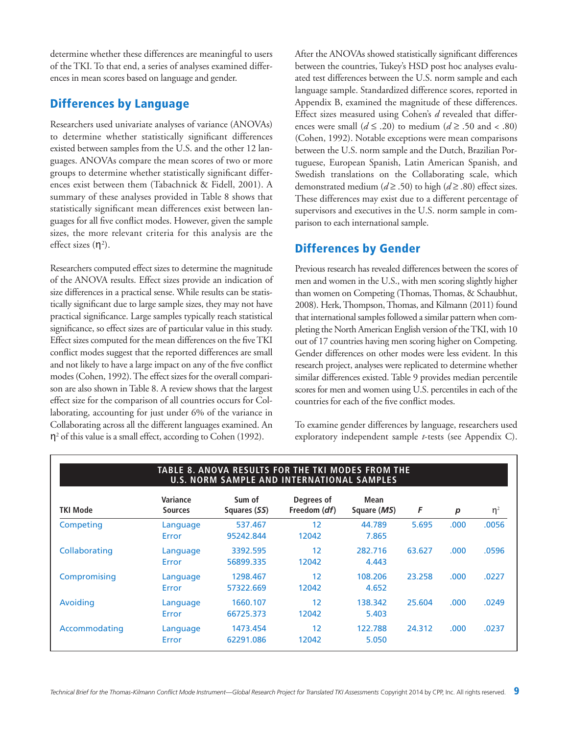determine whether these differences are meaningful to users of the TKI. To that end, a series of analyses examined differences in mean scores based on language and gender.

#### **Differences by Language**

Researchers used univariate analyses of variance (ANOVAs) to determine whether statistically significant differences existed between samples from the U.S. and the other 12 languages. ANOVAs compare the mean scores of two or more groups to determine whether statistically significant differences exist between them (Tabachnick & Fidell, 2001). A summary of these analyses provided in Table 8 shows that statistically significant mean differences exist between languages for all five conflict modes. However, given the sample sizes, the more relevant criteria for this analysis are the effect sizes  $(\eta^2)$ .

Researchers computed effect sizes to determine the magnitude of the ANOVA results. Effect sizes provide an indication of size differences in a practical sense. While results can be statistically significant due to large sample sizes, they may not have practical significance. Large samples typically reach statistical significance, so effect sizes are of particular value in this study. Effect sizes computed for the mean differences on the five TKI conflict modes suggest that the reported differences are small and not likely to have a large impact on any of the five conflict modes (Cohen, 1992). The effect sizes for the overall comparison are also shown in Table 8. A review shows that the largest effect size for the comparison of all countries occurs for Collaborating, accounting for just under 6% of the variance in Collaborating across all the different languages examined. An  $\eta^2$  of this value is a small effect, according to Cohen (1992).

After the ANOVAs showed statistically significant differences between the countries, Tukey's HSD post hoc analyses evaluated test differences between the U.S. norm sample and each language sample. Standardized difference scores, reported in Appendix B, examined the magnitude of these differences. Effect sizes measured using Cohen's *d* revealed that differences were small  $(d \le .20)$  to medium  $(d \ge .50$  and < .80) (Cohen, 1992). Notable exceptions were mean comparisons between the U.S. norm sample and the Dutch, Brazilian Portuguese, European Spanish, Latin American Spanish, and Swedish translations on the Collaborating scale, which demonstrated medium ( $d \ge 0.50$ ) to high ( $d \ge 0.80$ ) effect sizes. These differences may exist due to a different percentage of supervisors and executives in the U.S. norm sample in comparison to each international sample.

#### **Differences by Gender**

Previous research has revealed differences between the scores of men and women in the U.S., with men scoring slightly higher than women on Competing (Thomas, Thomas, & Schaubhut, 2008). Herk,Thompson,Thomas, and Kilmann (2011) found that international samples followed a similar pattern when completing the North American English version of the TKI, with 10 out of 17 countries having men scoring higher on Competing. Gender differences on other modes were less evident. In this research project, analyses were replicated to determine whether similar differences existed. Table 9 provides median percentile scores for men and women using U.S. percentiles in each of the countries for each of the five conflict modes.

To examine gender differences by language, researchers used exploratory independent sample *t*-tests (see Appendix C).

|                 | <b>TABLE 8. ANOVA RESULTS FOR THE TKI MODES FROM THE</b><br><b>U.S. NORM SAMPLE AND INTERNATIONAL SAMPLES</b> |                        |                                     |                     |        |       |          |  |  |  |  |  |  |  |
|-----------------|---------------------------------------------------------------------------------------------------------------|------------------------|-------------------------------------|---------------------|--------|-------|----------|--|--|--|--|--|--|--|
| <b>TKI Mode</b> | Variance<br><b>Sources</b>                                                                                    | Sum of<br>Squares (SS) | Degrees of<br>Freedom ( <i>df</i> ) | Mean<br>Square (MS) | F      | p     | $\eta^2$ |  |  |  |  |  |  |  |
| Competing       | Language<br>Error                                                                                             | 537.467<br>95242.844   | 12<br>12042                         | 44.789<br>7.865     | 5.695  | .000. | .0056    |  |  |  |  |  |  |  |
| Collaborating   | Language<br>Error                                                                                             | 3392.595<br>56899.335  | 12<br>12042                         | 282.716<br>4.443    | 63.627 | .000. | .0596    |  |  |  |  |  |  |  |
| Compromising    | Language<br>Error                                                                                             | 1298.467<br>57322.669  | 12<br>12042                         | 108.206<br>4.652    | 23.258 | .000  | .0227    |  |  |  |  |  |  |  |
| Avoiding        | Language<br>Error                                                                                             | 1660.107<br>66725.373  | 12<br>12042                         | 138.342<br>5.403    | 25.604 | .000. | .0249    |  |  |  |  |  |  |  |
| Accommodating   | Language<br>Error                                                                                             | 1473.454<br>62291.086  | 12<br>12042                         | 122.788<br>5.050    | 24.312 | .000. | .0237    |  |  |  |  |  |  |  |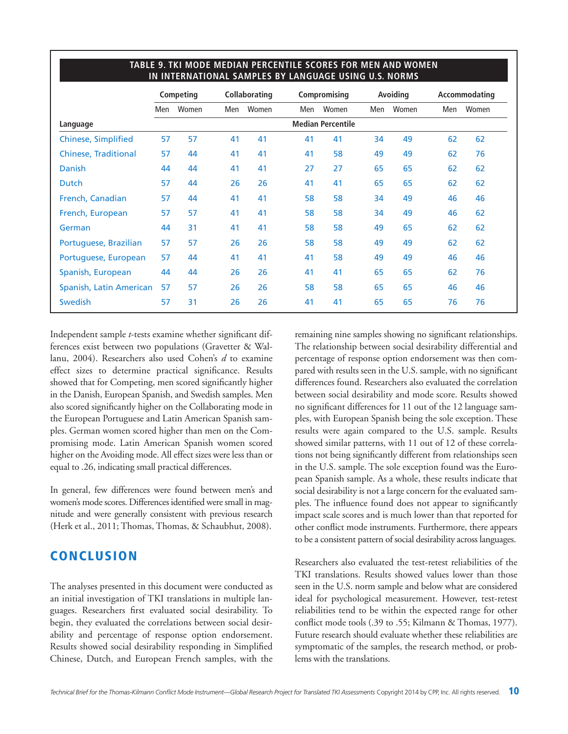|                             |     | Competing |     | <b>Collaborating</b> |     | Compromising             |     | Avoiding |     | Accommodating |
|-----------------------------|-----|-----------|-----|----------------------|-----|--------------------------|-----|----------|-----|---------------|
|                             | Men | Women     | Men | Women                | Men | Women                    | Men | Women    | Men | Women         |
| Language                    |     |           |     |                      |     | <b>Median Percentile</b> |     |          |     |               |
| <b>Chinese, Simplified</b>  | 57  | 57        | 41  | 41                   | 41  | 41                       | 34  | 49       | 62  | 62            |
| <b>Chinese, Traditional</b> | 57  | 44        | 41  | 41                   | 41  | 58                       | 49  | 49       | 62  | 76            |
| <b>Danish</b>               | 44  | 44        | 41  | 41                   | 27  | 27                       | 65  | 65       | 62  | 62            |
| Dutch                       | 57  | 44        | 26  | 26                   | 41  | 41                       | 65  | 65       | 62  | 62            |
| French, Canadian            | 57  | 44        | 41  | 41                   | 58  | 58                       | 34  | 49       | 46  | 46            |
| French, European            | 57  | 57        | 41  | 41                   | 58  | 58                       | 34  | 49       | 46  | 62            |
| German                      | 44  | 31        | 41  | 41                   | 58  | 58                       | 49  | 65       | 62  | 62            |
| Portuguese, Brazilian       | 57  | 57        | 26  | 26                   | 58  | 58                       | 49  | 49       | 62  | 62            |
| Portuguese, European        | 57  | 44        | 41  | 41                   | 41  | 58                       | 49  | 49       | 46  | 46            |
| Spanish, European           | 44  | 44        | 26  | 26                   | 41  | 41                       | 65  | 65       | 62  | 76            |
| Spanish, Latin American     | 57  | 57        | 26  | 26                   | 58  | 58                       | 65  | 65       | 46  | 46            |
| Swedish                     | 57  | 31        | 26  | 26                   | 41  | 41                       | 65  | 65       | 76  | 76            |
|                             |     |           |     |                      |     |                          |     |          |     |               |

#### **TABLE 9. TKI MODE MEDIAN PERCENTILE SCORES FOR MEN AND WOMEN IN INTERNATIONAL SAMPLES BY LANGUAGE USING U.S. NORMS**

Independent sample *t*-tests examine whether significant differences exist between two populations (Gravetter & Wallanu, 2004). Researchers also used Cohen's *d* to examine effect sizes to determine practical significance. Results showed that for Competing, men scored significantly higher in the Danish, European Spanish, and Swedish samples. Men also scored significantly higher on the Collaborating mode in the European Portuguese and Latin American Spanish samples. German women scored higher than men on the Compromising mode. Latin American Spanish women scored higher on the Avoiding mode. All effect sizes were less than or equal to .26, indicating small practical differences.

In general, few differences were found between men's and women's mode scores. Differences identified were small in magnitude and were generally consistent with previous research (Herk et al., 2011; Thomas, Thomas, & Schaubhut, 2008).

#### **CONCLUSION**

The analyses presented in this document were conducted as an initial investigation of TKI translations in multiple languages. Researchers first evaluated social desirability. To begin, they evaluated the correlations between social desirability and percentage of response option endorsement. Results showed social desirability responding in Simplified Chinese, Dutch, and European French samples, with the

remaining nine samples showing no significant relationships. The relationship between social desirability differential and percentage of response option endorsement was then compared with results seen in the U.S. sample, with no significant differences found. Researchers also evaluated the correlation between social desirability and mode score. Results showed no significant differences for 11 out of the 12 language samples, with European Spanish being the sole exception. These results were again compared to the U.S. sample. Results showed similar patterns, with 11 out of 12 of these correlations not being significantly different from relationships seen in the U.S. sample. The sole exception found was the European Spanish sample. As a whole, these results indicate that social desirability is not a large concern for the evaluated samples. The influence found does not appear to significantly impact scale scores and is much lower than that reported for other conflict mode instruments. Furthermore, there appears to be a consistent pattern of social desirability across languages.

Researchers also evaluated the test-retest reliabilities of the TKI translations. Results showed values lower than those seen in the U.S. norm sample and below what are considered ideal for psychological measurement. However, test-retest reliabilities tend to be within the expected range for other conflict mode tools (.39 to .55; Kilmann & Thomas, 1977). Future research should evaluate whether these reliabilities are symptomatic of the samples, the research method, or problems with the translations.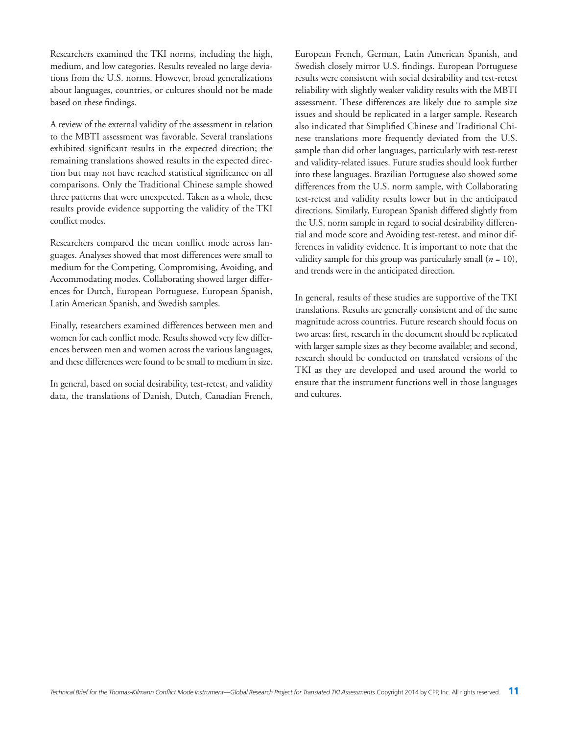Researchers examined the TKI norms, including the high, medium, and low categories. Results revealed no large deviations from the U.S. norms. However, broad generalizations about languages, countries, or cultures should not be made based on these findings.

A review of the external validity of the assessment in relation to the MBTI assessment was favorable. Several translations exhibited significant results in the expected direction; the remaining translations showed results in the expected direction but may not have reached statistical significance on all comparisons. Only the Traditional Chinese sample showed three patterns that were unexpected. Taken as a whole, these results provide evidence supporting the validity of the TKI conflict modes.

Researchers compared the mean conflict mode across languages. Analyses showed that most differences were small to medium for the Competing, Compromising, Avoiding, and Accommodating modes. Collaborating showed larger differences for Dutch, European Portuguese, European Spanish, Latin American Spanish, and Swedish samples.

Finally, researchers examined differences between men and women for each conflict mode. Results showed very few differences between men and women across the various languages, and these differences were found to be small to medium in size.

In general, based on social desirability, test-retest, and validity data, the translations of Danish, Dutch, Canadian French, European French, German, Latin American Spanish, and Swedish closely mirror U.S. findings. European Portuguese results were consistent with social desirability and test-retest reliability with slightly weaker validity results with the MBTI assessment. These differences are likely due to sample size issues and should be replicated in a larger sample. Research also indicated that Simplified Chinese and Traditional Chinese translations more frequently deviated from the U.S. sample than did other languages, particularly with test-retest and validity-related issues. Future studies should look further into these languages. Brazilian Portuguese also showed some differences from the U.S. norm sample, with Collaborating test-retest and validity results lower but in the anticipated directions. Similarly, European Spanish differed slightly from the U.S. norm sample in regard to social desirability differential and mode score and Avoiding test-retest, and minor differences in validity evidence. It is important to note that the validity sample for this group was particularly small  $(n = 10)$ , and trends were in the anticipated direction.

In general, results of these studies are supportive of the TKI translations. Results are generally consistent and of the same magnitude across countries. Future research should focus on two areas: first, research in the document should be replicated with larger sample sizes as they become available; and second, research should be conducted on translated versions of the TKI as they are developed and used around the world to ensure that the instrument functions well in those languages and cultures.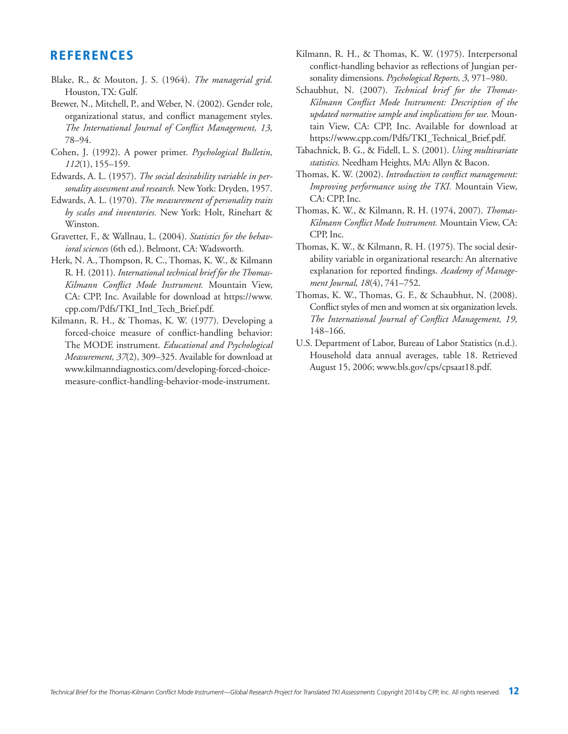#### **REFERENCES**

- Blake, R., & Mouton, J. S. (1964). *The managerial grid.* Houston,TX: Gulf.
- Brewer, N., Mitchell, P., and Weber, N. (2002). Gender role, organizational status, and conflict management styles. *The International Journal of Conflict Management, 13,* 78–94.
- Cohen, J. (1992). A power primer. *Psychological Bulletin, 112*(1), 155–159.
- Edwards, A. L. (1957). *The social desirability variable in personality assessment and research.* New York: Dryden, 1957.
- Edwards, A. L. (1970). *The measurement of personality traits by scales and inventories.* New York: Holt, Rinehart & Winston.
- Gravetter, F., & Wallnau, L. (2004). *Statistics for the behavioral sciences* (6th ed.). Belmont, CA: Wadsworth.
- Herk, N. A., Thompson, R. C., Thomas, K. W., & Kilmann R. H. (2011). *International technical brief for the Thomas-Kilmann Conflict Mode Instrument.* Mountain View, CA: CPP, Inc. Available for download at https://www. cpp.com/Pdfs/TKI\_Intl\_Tech\_Brief.pdf.
- Kilmann, R. H., & Thomas, K. W. (1977). Developing a forced-choice measure of conflict-handling behavior: The MODE instrument. *Educational and Psychological Measurement, 37*(2), 309–325. Available for download at www.kilmanndiagnostics.com/developing-forced-choicemeasure-conflict-handling-behavior-mode-instrument.
- Kilmann, R. H., & Thomas, K. W. (1975). Interpersonal conflict-handling behavior as reflections of Jungian personality dimensions. *Psychological Reports, 3,* 971–980.
- Schaubhut, N. (2007). *Technical brief for the Thomas-Kilmann Conflict Mode Instrument: Description of the updated normative sample and implications for use.* Mountain View, CA: CPP, Inc. Available for download at https://www.cpp.com/Pdfs/TKI\_Technical\_Brief.pdf.
- Tabachnick, B. G., & Fidell, L. S. (2001). *Using multivariate statistics.* Needham Heights, MA: Allyn & Bacon.
- Thomas, K. W. (2002). *Introduction to conflict management: Improving performance using the TKI.* Mountain View, CA: CPP, Inc.
- Thomas, K. W., & Kilmann, R. H. (1974, 2007). *Thomas-Kilmann Conflict Mode Instrument.* Mountain View, CA: CPP, Inc.
- Thomas, K. W., & Kilmann, R. H. (1975). The social desirability variable in organizational research: An alternative explanation for reported findings. *Academy of Management Journal, 18*(4), 741–752.
- Thomas, K. W., Thomas, G. F., & Schaubhut, N. (2008). Conflict styles of men and women at six organization levels. *The International Journal of Conflict Management, 19,* 148–166.
- U.S. Department of Labor, Bureau of Labor Statistics (n.d.). Household data annual averages, table 18. Retrieved August 15, 2006; www.bls.gov/cps/cpsaat18.pdf.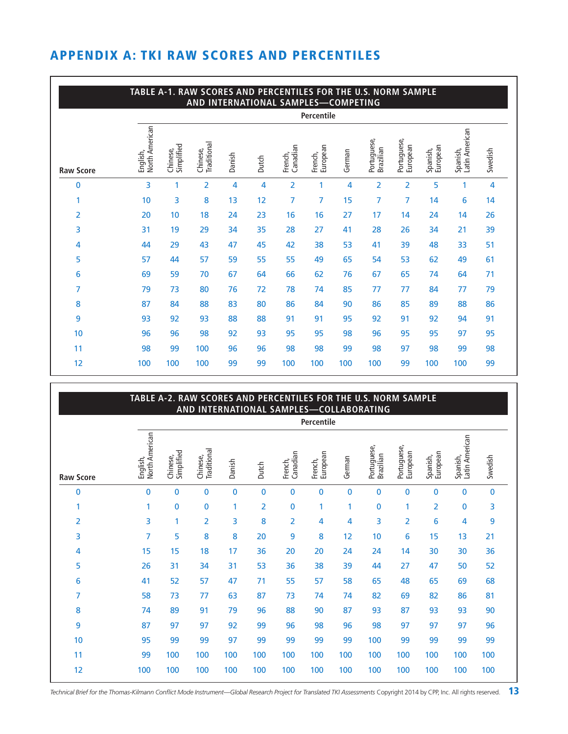# **APPENDIX A: TKI RAW SCORES AND PERCENTILES**

|                  | TABLE A-1. RAW SCORES AND PERCENTILES FOR THE U.S. NORM SAMPLE<br>AND INTERNATIONAL SAMPLES-COMPETING |                        |                                |        |       |                     |                     |        |                          |                         |                      |                            |         |
|------------------|-------------------------------------------------------------------------------------------------------|------------------------|--------------------------------|--------|-------|---------------------|---------------------|--------|--------------------------|-------------------------|----------------------|----------------------------|---------|
|                  |                                                                                                       |                        |                                |        |       |                     | Percentile          |        |                          |                         |                      |                            |         |
| <b>Raw Score</b> | <b>North American</b><br>English,                                                                     | Simplified<br>Chinese, | <b>Traditional</b><br>Chinese, | Danish | Dutch | Canadian<br>French, | European<br>French, | German | Portuguese,<br>Brazilian | Portuguese,<br>European | European<br>Spanish, | Spanish,<br>Latin American | Swedish |
| $\mathbf{0}$     | 3                                                                                                     | 1                      | $\overline{2}$                 | 4      | 4     | 2                   | 1                   | 4      | 2                        | 2                       | 5                    | 1                          | 4       |
| 1                | 10                                                                                                    | 3                      | 8                              | 13     | 12    | 7                   | 7                   | 15     | 7                        | 7                       | 14                   | 6                          | 14      |
| 2                | 20                                                                                                    | 10                     | 18                             | 24     | 23    | 16                  | 16                  | 27     | 17                       | 14                      | 24                   | 14                         | 26      |
| 3                | 31                                                                                                    | 19                     | 29                             | 34     | 35    | 28                  | 27                  | 41     | 28                       | 26                      | 34                   | 21                         | 39      |
| 4                | 44                                                                                                    | 29                     | 43                             | 47     | 45    | 42                  | 38                  | 53     | 41                       | 39                      | 48                   | 33                         | 51      |
| 5                | 57                                                                                                    | 44                     | 57                             | 59     | 55    | 55                  | 49                  | 65     | 54                       | 53                      | 62                   | 49                         | 61      |
| 6                | 69                                                                                                    | 59                     | 70                             | 67     | 64    | 66                  | 62                  | 76     | 67                       | 65                      | 74                   | 64                         | 71      |
| 7                | 79                                                                                                    | 73                     | 80                             | 76     | 72    | 78                  | 74                  | 85     | 77                       | 77                      | 84                   | 77                         | 79      |
| 8                | 87                                                                                                    | 84                     | 88                             | 83     | 80    | 86                  | 84                  | 90     | 86                       | 85                      | 89                   | 88                         | 86      |
| 9                | 93                                                                                                    | 92                     | 93                             | 88     | 88    | 91                  | 91                  | 95     | 92                       | 91                      | 92                   | 94                         | 91      |
| 10               | 96                                                                                                    | 96                     | 98                             | 92     | 93    | 95                  | 95                  | 98     | 96                       | 95                      | 95                   | 97                         | 95      |
| 11               | 98                                                                                                    | 99                     | 100                            | 96     | 96    | 98                  | 98                  | 99     | 98                       | 97                      | 98                   | 99                         | 98      |
| 12               | 100                                                                                                   | 100                    | 100                            | 99     | 99    | 100                 | 100                 | 100    | 100                      | 99                      | 100                  | 100                        | 99      |

|                  | TABLE A-2. RAW SCORES AND PERCENTILES FOR THE U.S. NORM SAMPLE<br>AND INTERNATIONAL SAMPLES-COLLABORATING |                        |                         |             |                |                     |                     |             |                          |                         |                      |                            |              |
|------------------|-----------------------------------------------------------------------------------------------------------|------------------------|-------------------------|-------------|----------------|---------------------|---------------------|-------------|--------------------------|-------------------------|----------------------|----------------------------|--------------|
|                  |                                                                                                           |                        |                         |             |                |                     | Percentile          |             |                          |                         |                      |                            |              |
| <b>Raw Score</b> | North American<br>English,                                                                                | Simplified<br>Chinese, | Traditional<br>Chinese, | Danish      | Dutch          | Canadian<br>French, | European<br>French, | German      | Portuguese,<br>Brazilian | Portuguese,<br>European | European<br>Spanish, | Latin American<br>Spanish, | Swedish      |
| 0                | $\bf{0}$                                                                                                  | 0                      | $\mathbf 0$             | $\mathbf 0$ | $\bf{0}$       | 0                   | 0                   | $\mathbf 0$ | 0                        | 0                       | 0                    | $\Omega$                   | $\mathbf{0}$ |
| 1                | 1                                                                                                         | 0                      | 0                       | 1           | $\overline{2}$ | 0                   | 1                   | 1           | 0                        | 1                       | 2                    | $\mathbf{0}$               | 3            |
| $\overline{2}$   | 3                                                                                                         | $\mathbf{1}$           | $\overline{2}$          | 3           | 8              | 2                   | 4                   | 4           | 3                        | 2                       | 6                    | 4                          | 9            |
| 3                | 7                                                                                                         | 5                      | 8                       | 8           | 20             | 9                   | 8                   | 12          | 10                       | 6                       | 15                   | 13                         | 21           |
| 4                | 15                                                                                                        | 15                     | 18                      | 17          | 36             | 20                  | 20                  | 24          | 24                       | 14                      | 30                   | 30                         | 36           |
| 5                | 26                                                                                                        | 31                     | 34                      | 31          | 53             | 36                  | 38                  | 39          | 44                       | 27                      | 47                   | 50                         | 52           |
| 6                | 41                                                                                                        | 52                     | 57                      | 47          | 71             | 55                  | 57                  | 58          | 65                       | 48                      | 65                   | 69                         | 68           |
| 7                | 58                                                                                                        | 73                     | 77                      | 63          | 87             | 73                  | 74                  | 74          | 82                       | 69                      | 82                   | 86                         | 81           |
| 8                | 74                                                                                                        | 89                     | 91                      | 79          | 96             | 88                  | 90                  | 87          | 93                       | 87                      | 93                   | 93                         | 90           |
| 9                | 87                                                                                                        | 97                     | 97                      | 92          | 99             | 96                  | 98                  | 96          | 98                       | 97                      | 97                   | 97                         | 96           |
| 10               | 95                                                                                                        | 99                     | 99                      | 97          | 99             | 99                  | 99                  | 99          | 100                      | 99                      | 99                   | 99                         | 99           |
| 11               | 99                                                                                                        | 100                    | 100                     | 100         | 100            | 100                 | 100                 | 100         | 100                      | 100                     | 100                  | 100                        | 100          |
| 12               | 100                                                                                                       | 100                    | 100                     | 100         | 100            | 100                 | 100                 | 100         | 100                      | 100                     | 100                  | 100                        | 100          |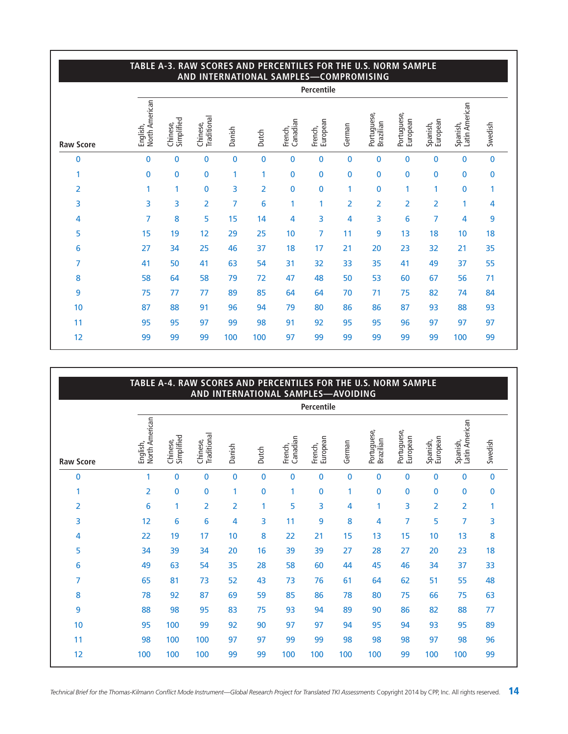|                  | TABLE A-3. RAW SCORES AND PERCENTILES FOR THE U.S. NORM SAMPLE<br>AND INTERNATIONAL SAMPLES-COMPROMISING |                        |                         |             |                |                     |                     |                |                          |                         |                      |                            |         |
|------------------|----------------------------------------------------------------------------------------------------------|------------------------|-------------------------|-------------|----------------|---------------------|---------------------|----------------|--------------------------|-------------------------|----------------------|----------------------------|---------|
|                  |                                                                                                          |                        |                         |             |                |                     | Percentile          |                |                          |                         |                      |                            |         |
| <b>Raw Score</b> | North American<br>English,                                                                               | Simplified<br>Chinese, | Traditional<br>Chinese, | Danish      | Dutch          | Canadian<br>French, | European<br>French, | German         | Portuguese,<br>Brazilian | Portuguese,<br>European | European<br>Spanish, | Latin American<br>Spanish, | Swedish |
| 0                | $\mathbf{0}$                                                                                             | 0                      | 0                       | $\mathbf 0$ | 0              | 0                   | $\mathbf{0}$        | $\bf{0}$       | 0                        | 0                       | $\mathbf 0$          | $\mathbf{0}$               | 0       |
| 1                | $\mathbf{0}$                                                                                             | 0                      | 0                       | 1           | 1              | 0                   | 0                   | $\bf{0}$       | 0                        | 0                       | $\bf{0}$             | $\mathbf{0}$               | 0       |
| 2                | 1                                                                                                        | 1                      | 0                       | 3           | $\overline{2}$ | 0                   | 0                   | 1              | 0                        | 1                       | 1                    | $\mathbf{0}$               | 1       |
| 3                | 3                                                                                                        | 3                      | $\overline{2}$          | 7           | 6              | 1                   | 1                   | $\overline{2}$ | 2                        | $\overline{2}$          | $\overline{2}$       |                            | 4       |
| 4                | 7                                                                                                        | 8                      | 5                       | 15          | 14             | 4                   | 3                   | 4              | 3                        | 6                       | 7                    | 4                          | 9       |
| 5                | 15                                                                                                       | 19                     | 12                      | 29          | 25             | 10                  | 7                   | 11             | 9                        | 13                      | 18                   | 10                         | 18      |
| 6                | 27                                                                                                       | 34                     | 25                      | 46          | 37             | 18                  | 17                  | 21             | 20                       | 23                      | 32                   | 21                         | 35      |
| 7                | 41                                                                                                       | 50                     | 41                      | 63          | 54             | 31                  | 32                  | 33             | 35                       | 41                      | 49                   | 37                         | 55      |
| 8                | 58                                                                                                       | 64                     | 58                      | 79          | 72             | 47                  | 48                  | 50             | 53                       | 60                      | 67                   | 56                         | 71      |
| 9                | 75                                                                                                       | 77                     | 77                      | 89          | 85             | 64                  | 64                  | 70             | 71                       | 75                      | 82                   | 74                         | 84      |
| 10               | 87                                                                                                       | 88                     | 91                      | 96          | 94             | 79                  | 80                  | 86             | 86                       | 87                      | 93                   | 88                         | 93      |
| 11               | 95                                                                                                       | 95                     | 97                      | 99          | 98             | 91                  | 92                  | 95             | 95                       | 96                      | 97                   | 97                         | 97      |
| 12               | 99                                                                                                       | 99                     | 99                      | 100         | 100            | 97                  | 99                  | 99             | 99                       | 99                      | 99                   | 100                        | 99      |

#### **TABLE A-4. RAW SCORES AND PERCENTILES FOR THE U.S. NORM SAMPLE AND INTERNATIONAL SAMPLES—AVOIDING Raw Score**  0 1 0 0 0 0 0 0 0 0 0 0 0 0 1 2 0 0 1 0 1 0 1 0 0 0 0 0 2 6 1 2 2 1 5 3 4 1 3 2 2 1 3 12 6 6 4 3 11 9 8 4 7 5 7 3 4 22 19 17 10 8 22 21 15 13 15 10 13 8 5 34 39 34 20 16 39 39 27 28 27 20 23 18 6 49 63 54 35 28 58 60 44 45 46 34 37 33 7 65 81 73 52 43 73 76 61 64 62 51 55 48 8 78 92 87 69 59 85 86 78 80 75 66 75 63 9 88 98 95 83 75 93 94 89 90 86 82 88 77 10 95 100 99 92 90 97 97 94 95 94 93 95 89 11 98 100 100 97 97 99 99 98 98 98 97 98 96 12 100 100 100 99 99 100 100 100 100 99 100 100 99 **Percentile** English, North A merican Chinese, Simplified Chinese, Traditional Danish Dutch French, Canadian French, European German Portuguese, Brazilian Portuguese, European Spanish, European Spanish, Latin A merican Swedish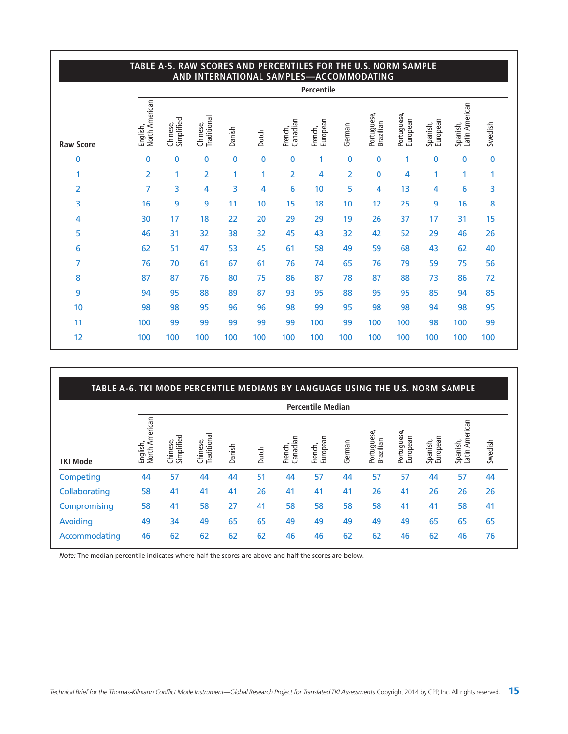|                  | TABLE A-5. RAW SCORES AND PERCENTILES FOR THE U.S. NORM SAMPLE<br>AND INTERNATIONAL SAMPLES-ACCOMMODATING |                        |                         |             |          |                     |                     |                |                          |                         |                      |                            |              |
|------------------|-----------------------------------------------------------------------------------------------------------|------------------------|-------------------------|-------------|----------|---------------------|---------------------|----------------|--------------------------|-------------------------|----------------------|----------------------------|--------------|
|                  |                                                                                                           |                        |                         |             |          |                     | Percentile          |                |                          |                         |                      |                            |              |
| <b>Raw Score</b> | North American<br>English,                                                                                | Simplified<br>Chinese, | Traditional<br>Chinese, | Danish      | Dutch    | Canadian<br>French, | European<br>French, | German         | Portuguese,<br>Brazilian | Portuguese,<br>European | European<br>Spanish, | Latin American<br>Spanish, | Swedish      |
| 0                | $\mathbf{0}$                                                                                              | 0                      | 0                       | $\mathbf 0$ | $\bf{0}$ | 0                   | 1                   | $\bf{0}$       | $\mathbf{0}$             | 1                       | $\bf{0}$             | $\mathbf{0}$               | $\mathbf{0}$ |
| 1                | $\overline{2}$                                                                                            | 1                      | $\overline{2}$          | 1           | 1        | 2                   | 4                   | $\overline{2}$ | 0                        | 4                       | 1                    | 1                          | 1            |
| 2                | 7                                                                                                         | 3                      | 4                       | 3           | 4        | 6                   | 10                  | 5              | 4                        | 13                      | 4                    | 6                          | 3            |
| 3                | 16                                                                                                        | 9                      | 9                       | 11          | 10       | 15                  | 18                  | 10             | 12                       | 25                      | 9                    | 16                         | 8            |
| 4                | 30                                                                                                        | 17                     | 18                      | 22          | 20       | 29                  | 29                  | 19             | 26                       | 37                      | 17                   | 31                         | 15           |
| 5                | 46                                                                                                        | 31                     | 32                      | 38          | 32       | 45                  | 43                  | 32             | 42                       | 52                      | 29                   | 46                         | 26           |
| 6                | 62                                                                                                        | 51                     | 47                      | 53          | 45       | 61                  | 58                  | 49             | 59                       | 68                      | 43                   | 62                         | 40           |
| 7                | 76                                                                                                        | 70                     | 61                      | 67          | 61       | 76                  | 74                  | 65             | 76                       | 79                      | 59                   | 75                         | 56           |
| 8                | 87                                                                                                        | 87                     | 76                      | 80          | 75       | 86                  | 87                  | 78             | 87                       | 88                      | 73                   | 86                         | 72           |
| 9                | 94                                                                                                        | 95                     | 88                      | 89          | 87       | 93                  | 95                  | 88             | 95                       | 95                      | 85                   | 94                         | 85           |
| 10               | 98                                                                                                        | 98                     | 95                      | 96          | 96       | 98                  | 99                  | 95             | 98                       | 98                      | 94                   | 98                         | 95           |
| 11               | 100                                                                                                       | 99                     | 99                      | 99          | 99       | 99                  | 100                 | 99             | 100                      | 100                     | 98                   | 100                        | 99           |
| 12               | 100                                                                                                       | 100                    | 100                     | 100         | 100      | 100                 | 100                 | 100            | 100                      | 100                     | 100                  | 100                        | 100          |

| TABLE A-6. TKI MODE PERCENTILE MEDIANS BY LANGUAGE USING THE U.S. NORM SAMPLE |                            |                        |                        |        |       |                     |                          |        |                          |                         |                      |                            |         |
|-------------------------------------------------------------------------------|----------------------------|------------------------|------------------------|--------|-------|---------------------|--------------------------|--------|--------------------------|-------------------------|----------------------|----------------------------|---------|
|                                                                               |                            |                        |                        |        |       |                     | <b>Percentile Median</b> |        |                          |                         |                      |                            |         |
| <b>TKI Mode</b>                                                               | North American<br>English, | Simplified<br>Chinese, | Traditiona<br>Chinese, | Danish | Dutch | Canadian<br>French, | French,<br>European      | German | Portuguese,<br>Brazilian | Portuguese,<br>European | Spanish,<br>European | Latin American<br>Spanish, | Swedish |
| Competing                                                                     | 44                         | 57                     | 44                     | 44     | 51    | 44                  | 57                       | 44     | 57                       | 57                      | 44                   | 57                         | 44      |
| Collaborating                                                                 | 58                         | 41                     | 41                     | 41     | 26    | 41                  | 41                       | 41     | 26                       | 41                      | 26                   | 26                         | 26      |
| Compromising                                                                  | 58                         | 41                     | 58                     | 27     | 41    | 58                  | 58                       | 58     | 58                       | 41                      | 41                   | 58                         | 41      |
| Avoiding                                                                      | 49                         | 34                     | 49                     | 65     | 65    | 49                  | 49                       | 49     | 49                       | 49                      | 65                   | 65                         | 65      |
| Accommodating                                                                 | 46                         | 62                     | 62                     | 62     | 62    | 46                  | 46                       | 62     | 62                       | 46                      | 62                   | 46                         | 76      |

*Note:* The median percentile indicates where half the scores are above and half the scores are below.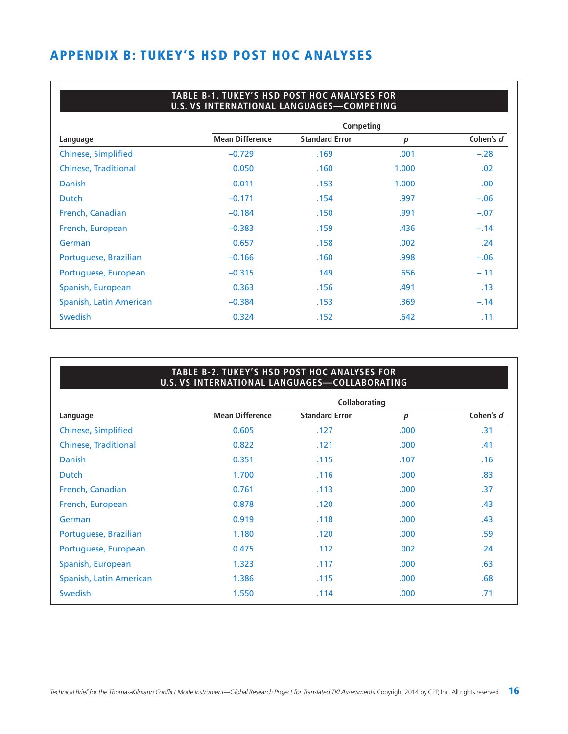# **APPENDIX B: TUKEY'S HSD POST HOC ANALYSES**

#### **TABLE B-1. TUKEY'S HSD POST HOC ANALYSES FOR U.S. VS INTERNATIONAL LANGUAGES—COMPETING**

|                             |                        | Competing             |                  |           |
|-----------------------------|------------------------|-----------------------|------------------|-----------|
| Language                    | <b>Mean Difference</b> | <b>Standard Error</b> | $\boldsymbol{p}$ | Cohen's d |
| <b>Chinese, Simplified</b>  | $-0.729$               | .169                  | .001             | $-.28$    |
| <b>Chinese, Traditional</b> | 0.050                  | .160                  | 1.000            | .02       |
| <b>Danish</b>               | 0.011                  | .153                  | 1.000            | .00.      |
| <b>Dutch</b>                | $-0.171$               | .154                  | .997             | $-.06$    |
| French, Canadian            | $-0.184$               | .150                  | .991             | $-.07$    |
| French, European            | $-0.383$               | .159                  | .436             | $-.14$    |
| German                      | 0.657                  | .158                  | .002             | .24       |
| Portuguese, Brazilian       | $-0.166$               | .160                  | .998             | $-.06$    |
| Portuguese, European        | $-0.315$               | .149                  | .656             | $-.11$    |
| Spanish, European           | 0.363                  | .156                  | .491             | .13       |
| Spanish, Latin American     | $-0.384$               | .153                  | .369             | $-.14$    |
| <b>Swedish</b>              | 0.324                  | .152                  | .642             | .11       |

#### **TABLE B-2. TUKEY'S HSD POST HOC ANALYSES FOR U.S. VS INTERNATIONAL LANGUAGES—COLLABORATING**

|                             |                        | <b>Collaborating</b>  |                  |           |
|-----------------------------|------------------------|-----------------------|------------------|-----------|
| Language                    | <b>Mean Difference</b> | <b>Standard Error</b> | $\boldsymbol{p}$ | Cohen's d |
| <b>Chinese, Simplified</b>  | 0.605                  | .127                  | .000             | .31       |
| <b>Chinese, Traditional</b> | 0.822                  | .121                  | .000             | .41       |
| <b>Danish</b>               | 0.351                  | .115                  | .107             | .16       |
| <b>Dutch</b>                | 1.700                  | .116                  | .000             | .83       |
| French, Canadian            | 0.761                  | .113                  | .000             | .37       |
| French, European            | 0.878                  | .120                  | .000             | .43       |
| German                      | 0.919                  | .118                  | .000             | .43       |
| Portuguese, Brazilian       | 1.180                  | .120                  | .000             | .59       |
| Portuguese, European        | 0.475                  | .112                  | .002             | .24       |
| Spanish, European           | 1.323                  | .117                  | .000             | .63       |
| Spanish, Latin American     | 1.386                  | .115                  | .000             | .68       |
| <b>Swedish</b>              | 1.550                  | .114                  | .000             | .71       |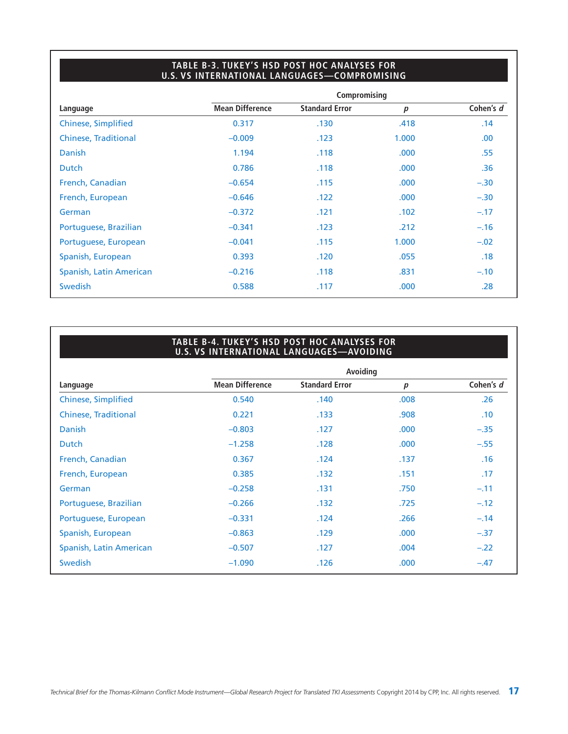#### **TABLE B-3. TUKEY'S HSD POST HOC ANALYSES FOR U.S. VS INTERNATIONAL LANGUAGES—COMPROMISING**

| Compromising           |                       |                  |           |  |  |  |  |  |  |  |
|------------------------|-----------------------|------------------|-----------|--|--|--|--|--|--|--|
| <b>Mean Difference</b> | <b>Standard Error</b> | $\boldsymbol{p}$ | Cohen's d |  |  |  |  |  |  |  |
| 0.317                  | .130                  | .418             | .14       |  |  |  |  |  |  |  |
| $-0.009$               | .123                  | 1.000            | .00.      |  |  |  |  |  |  |  |
| 1.194                  | .118                  | .000             | .55       |  |  |  |  |  |  |  |
| 0.786                  | .118                  | .000             | .36       |  |  |  |  |  |  |  |
| $-0.654$               | .115                  | .000             | $-.30$    |  |  |  |  |  |  |  |
| $-0.646$               | .122                  | .000             | $-.30$    |  |  |  |  |  |  |  |
| $-0.372$               | .121                  | .102             | $-.17$    |  |  |  |  |  |  |  |
| $-0.341$               | .123                  | .212             | $-.16$    |  |  |  |  |  |  |  |
| $-0.041$               | .115                  | 1.000            | $-.02$    |  |  |  |  |  |  |  |
| 0.393                  | .120                  | .055             | .18       |  |  |  |  |  |  |  |
| $-0.216$               | .118                  | .831             | $-.10$    |  |  |  |  |  |  |  |
| 0.588                  | .117                  | .000             | .28       |  |  |  |  |  |  |  |
|                        |                       |                  |           |  |  |  |  |  |  |  |

#### **TABLE B-4. TUKEY'S HSD POST HOC ANALYSES FOR U.S. VS INTERNATIONAL LANGUAGES—AVOIDING**

|                             |                        | Avoiding              |      |           |  |
|-----------------------------|------------------------|-----------------------|------|-----------|--|
| Language                    | <b>Mean Difference</b> | <b>Standard Error</b> | p    | Cohen's d |  |
| <b>Chinese, Simplified</b>  | 0.540                  | .140                  | .008 | .26       |  |
| <b>Chinese, Traditional</b> | 0.221                  | .133                  | .908 | .10       |  |
| <b>Danish</b>               | $-0.803$               | .127                  | .000 | $-.35$    |  |
| <b>Dutch</b>                | $-1.258$               | .128                  | .000 | $-.55$    |  |
| French, Canadian            | 0.367                  | .124                  | .137 | .16       |  |
| French, European            | 0.385                  | .132                  | .151 | .17       |  |
| German                      | $-0.258$               | .131                  | .750 | $-.11$    |  |
| Portuguese, Brazilian       | $-0.266$               | .132                  | .725 | $-.12$    |  |
| Portuguese, European        | $-0.331$               | .124                  | .266 | $-.14$    |  |
| Spanish, European           | $-0.863$               | .129                  | .000 | $-.37$    |  |
| Spanish, Latin American     | $-0.507$               | .127                  | .004 | $-.22$    |  |
| Swedish                     | $-1.090$               | .126                  | .000 | $-.47$    |  |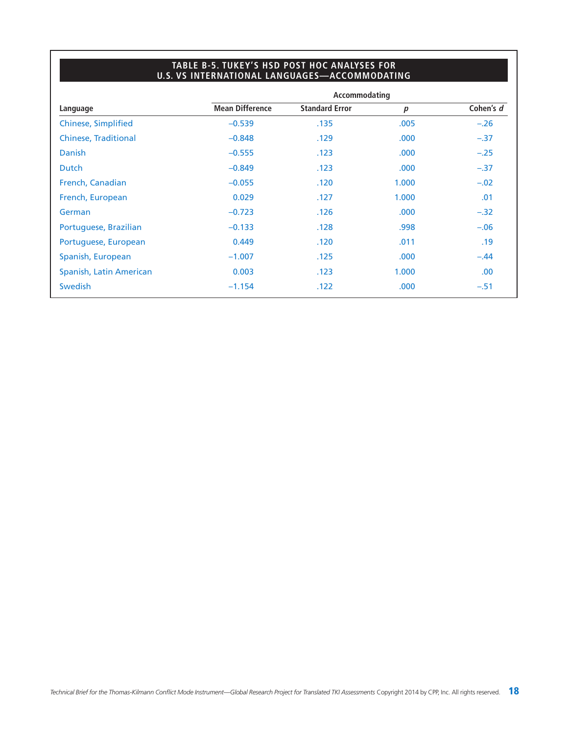#### **TABLE B-5. TUKEY'S HSD POST HOC ANALYSES FOR U.S. VS INTERNATIONAL LANGUAGES—ACCOMMODATING**

|                             |                        | Accommodating         |                  |           |
|-----------------------------|------------------------|-----------------------|------------------|-----------|
| Language                    | <b>Mean Difference</b> | <b>Standard Error</b> | $\boldsymbol{p}$ | Cohen's d |
| <b>Chinese, Simplified</b>  | $-0.539$               | .135                  | .005             | $-.26$    |
| <b>Chinese, Traditional</b> | $-0.848$               | .129                  | .000             | $-.37$    |
| <b>Danish</b>               | $-0.555$               | .123                  | .000             | $-.25$    |
| <b>Dutch</b>                | $-0.849$               | .123                  | .000             | $-.37$    |
| French, Canadian            | $-0.055$               | .120                  | 1.000            | $-.02$    |
| French, European            | 0.029                  | .127                  | 1.000            | .01       |
| German                      | $-0.723$               | .126                  | .000             | $-.32$    |
| Portuguese, Brazilian       | $-0.133$               | .128                  | .998             | $-.06$    |
| Portuguese, European        | 0.449                  | .120                  | .011             | .19       |
| Spanish, European           | $-1.007$               | .125                  | .000             | $-.44$    |
| Spanish, Latin American     | 0.003                  | .123                  | 1.000            | .00       |
| <b>Swedish</b>              | $-1.154$               | .122                  | .000             | $-.51$    |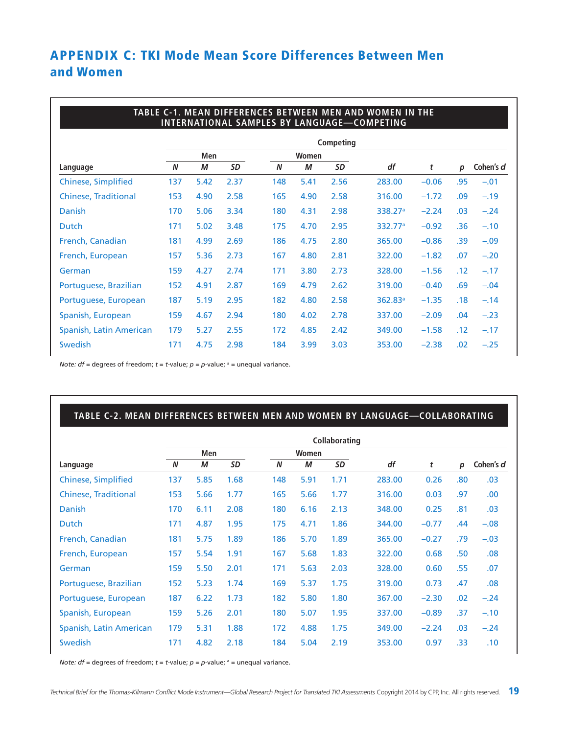# **APPENDIX C: TKI Mode Mean Score Differences Between Men and Women**

|                             |                  |      |      |     |       |                  | TABLE C-1. MEAN DIFFERENCES BETWEEN MEN AND WOMEN IN THE<br><b>INTERNATIONAL SAMPLES BY LANGUAGE-COMPETING</b> |         |     |           |
|-----------------------------|------------------|------|------|-----|-------|------------------|----------------------------------------------------------------------------------------------------------------|---------|-----|-----------|
|                             |                  |      |      |     |       | <b>Competing</b> |                                                                                                                |         |     |           |
|                             |                  | Men  |      |     | Women |                  |                                                                                                                |         |     |           |
| Language                    | $\boldsymbol{N}$ | М    | SD   | N   | М     | SD               | df                                                                                                             | t       | р   | Cohen's d |
| <b>Chinese, Simplified</b>  | 137              | 5.42 | 2.37 | 148 | 5.41  | 2.56             | 283.00                                                                                                         | $-0.06$ | .95 | $-.01$    |
| <b>Chinese, Traditional</b> | 153              | 4.90 | 2.58 | 165 | 4.90  | 2.58             | 316.00                                                                                                         | $-1.72$ | .09 | $-.19$    |
| <b>Danish</b>               | 170              | 5.06 | 3.34 | 180 | 4.31  | 2.98             | 338.27 <sup>a</sup>                                                                                            | $-2.24$ | .03 | $-.24$    |
| Dutch                       | 171              | 5.02 | 3.48 | 175 | 4.70  | 2.95             | 332.77 <sup>a</sup>                                                                                            | $-0.92$ | .36 | $-.10$    |
| French, Canadian            | 181              | 4.99 | 2.69 | 186 | 4.75  | 2.80             | 365.00                                                                                                         | $-0.86$ | .39 | $-.09$    |
| French, European            | 157              | 5.36 | 2.73 | 167 | 4.80  | 2.81             | 322.00                                                                                                         | $-1.82$ | .07 | $-.20$    |
| German                      | 159              | 4.27 | 2.74 | 171 | 3.80  | 2.73             | 328.00                                                                                                         | $-1.56$ | .12 | $-.17$    |
| Portuguese, Brazilian       | 152              | 4.91 | 2.87 | 169 | 4.79  | 2.62             | 319.00                                                                                                         | $-0.40$ | .69 | $-.04$    |
| Portuguese, European        | 187              | 5.19 | 2.95 | 182 | 4.80  | 2.58             | $362.83$ <sup>a</sup>                                                                                          | $-1.35$ | .18 | $-.14$    |
| Spanish, European           | 159              | 4.67 | 2.94 | 180 | 4.02  | 2.78             | 337.00                                                                                                         | $-2.09$ | .04 | $-.23$    |
| Spanish, Latin American     | 179              | 5.27 | 2.55 | 172 | 4.85  | 2.42             | 349.00                                                                                                         | $-1.58$ | .12 | $-.17$    |
| <b>Swedish</b>              | 171              | 4.75 | 2.98 | 184 | 3.99  | 3.03             | 353.00                                                                                                         | $-2.38$ | .02 | $-.25$    |

*Note:*  $df =$  degrees of freedom;  $t = t$ -value;  $p = p$ -value;  $a =$  unequal variance.

#### **TABLE C-2. MEAN DIFFERENCES BETWEEN MEN AND WOMEN BY LANGUAGE—COLLABORATING**

|                             | <b>Collaborating</b> |      |           |     |                |      |        |         |     |           |  |
|-----------------------------|----------------------|------|-----------|-----|----------------|------|--------|---------|-----|-----------|--|
|                             | Men                  |      |           |     | Women          |      |        |         |     |           |  |
| Language                    | N                    | М    | <b>SD</b> | N   | <b>SD</b><br>М |      | df     | t       | p   | Cohen's d |  |
| <b>Chinese, Simplified</b>  | 137                  | 5.85 | 1.68      | 148 | 5.91           | 1.71 | 283,00 | 0.26    | .80 | .03       |  |
| <b>Chinese, Traditional</b> | 153                  | 5.66 | 1.77      | 165 | 5.66           | 1.77 | 316.00 | 0.03    | .97 | .00.      |  |
| Danish                      | 170                  | 6.11 | 2.08      | 180 | 6.16           | 2.13 | 348.00 | 0.25    | .81 | .03       |  |
| Dutch                       | 171                  | 4.87 | 1.95      | 175 | 4.71           | 1.86 | 344.00 | $-0.77$ | .44 | $-.08$    |  |
| French, Canadian            | 181                  | 5.75 | 1.89      | 186 | 5.70           | 1.89 | 365.00 | $-0.27$ | .79 | $-.03$    |  |
| French, European            | 157                  | 5.54 | 1.91      | 167 | 5.68           | 1.83 | 322.00 | 0.68    | .50 | .08       |  |
| German                      | 159                  | 5.50 | 2.01      | 171 | 5.63           | 2.03 | 328,00 | 0.60    | .55 | .07       |  |
| Portuguese, Brazilian       | 152                  | 5.23 | 1.74      | 169 | 5.37           | 1.75 | 319.00 | 0.73    | .47 | .08       |  |
| Portuguese, European        | 187                  | 6.22 | 1.73      | 182 | 5.80           | 1.80 | 367.00 | $-2.30$ | .02 | $-.24$    |  |
| Spanish, European           | 159                  | 5.26 | 2.01      | 180 | 5.07           | 1.95 | 337.00 | $-0.89$ | .37 | $-.10$    |  |
| Spanish, Latin American     | 179                  | 5.31 | 1.88      | 172 | 4.88           | 1.75 | 349.00 | $-2.24$ | .03 | $-.24$    |  |
| <b>Swedish</b>              | 171                  | 4.82 | 2.18      | 184 | 5.04           | 2.19 | 353.00 | 0.97    | .33 | .10       |  |

*Note:*  $df =$  degrees of freedom;  $t = t$ -value;  $p = p$ -value;  $a =$  unequal variance.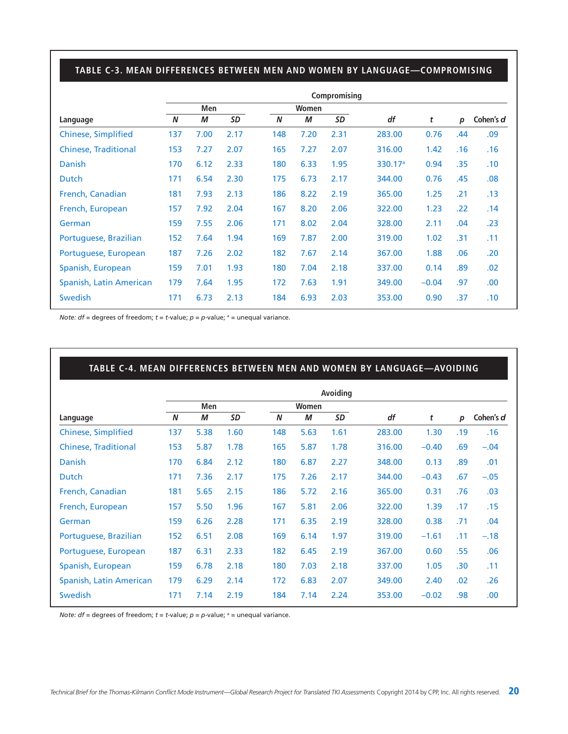#### **TABLE C-3. MEAN DIFFERENCES BETWEEN MEN AND WOMEN BY LANGUAGE—COMPROMISING**

|                             | Compromising |      |           |     |       |      |                     |         |     |           |  |
|-----------------------------|--------------|------|-----------|-----|-------|------|---------------------|---------|-----|-----------|--|
|                             | Men          |      |           |     | Women |      |                     |         |     |           |  |
| Language                    | N            | М    | <b>SD</b> | N   | М     | SD   | df                  | t       | p   | Cohen's d |  |
| <b>Chinese, Simplified</b>  | 137          | 7.00 | 2.17      | 148 | 7.20  | 2.31 | 283.00              | 0.76    | .44 | .09       |  |
| <b>Chinese, Traditional</b> | 153          | 7.27 | 2.07      | 165 | 7.27  | 2.07 | 316.00              | 1.42    | .16 | .16       |  |
| <b>Danish</b>               | 170          | 6.12 | 2.33      | 180 | 6.33  | 1.95 | 330.17 <sup>a</sup> | 0.94    | .35 | .10       |  |
| <b>Dutch</b>                | 171          | 6.54 | 2.30      | 175 | 6.73  | 2.17 | 344.00              | 0.76    | .45 | .08       |  |
| French, Canadian            | 181          | 7.93 | 2.13      | 186 | 8.22  | 2.19 | 365.00              | 1.25    | .21 | .13       |  |
| French, European            | 157          | 7.92 | 2.04      | 167 | 8.20  | 2.06 | 322.00              | 1.23    | .22 | .14       |  |
| German                      | 159          | 7.55 | 2.06      | 171 | 8.02  | 2.04 | 328.00              | 2.11    | .04 | .23       |  |
| Portuguese, Brazilian       | 152          | 7.64 | 1.94      | 169 | 7.87  | 2.00 | 319.00              | 1.02    | .31 | .11       |  |
| Portuguese, European        | 187          | 7.26 | 2.02      | 182 | 7.67  | 2.14 | 367.00              | 1.88    | .06 | .20       |  |
| Spanish, European           | 159          | 7.01 | 1.93      | 180 | 7.04  | 2.18 | 337.00              | 0.14    | .89 | .02       |  |
| Spanish, Latin American     | 179          | 7.64 | 1.95      | 172 | 7.63  | 1.91 | 349.00              | $-0.04$ | .97 | .00.      |  |
| <b>Swedish</b>              | 171          | 6.73 | 2.13      | 184 | 6.93  | 2.03 | 353.00              | 0.90    | .37 | .10       |  |

*Note:*  $df =$  degrees of freedom;  $t = t$ -value;  $p = p$ -value;  $a =$  unequal variance.

#### **TABLE C-4. MEAN DIFFERENCES BETWEEN MEN AND WOMEN BY LANGUAGE—AVOIDING**

|                             | Avoiding |      |      |     |       |      |        |         |     |           |  |  |  |
|-----------------------------|----------|------|------|-----|-------|------|--------|---------|-----|-----------|--|--|--|
|                             | Men      |      |      |     | Women |      |        |         |     |           |  |  |  |
| Language                    | N        | М    | SD   | N   | M     | SD   | df     | t       | р   | Cohen's d |  |  |  |
| <b>Chinese, Simplified</b>  | 137      | 5.38 | 1.60 | 148 | 5.63  | 1.61 | 283.00 | 1.30    | .19 | .16       |  |  |  |
| <b>Chinese, Traditional</b> | 153      | 5.87 | 1.78 | 165 | 5.87  | 1.78 | 316.00 | $-0.40$ | .69 | $-.04$    |  |  |  |
| <b>Danish</b>               | 170      | 6.84 | 2.12 | 180 | 6.87  | 2.27 | 348.00 | 0.13    | .89 | .01       |  |  |  |
| Dutch                       | 171      | 7.36 | 2.17 | 175 | 7.26  | 2.17 | 344.00 | $-0.43$ | .67 | $-.05$    |  |  |  |
| French, Canadian            | 181      | 5.65 | 2.15 | 186 | 5.72  | 2.16 | 365.00 | 0.31    | .76 | .03       |  |  |  |
| French, European            | 157      | 5.50 | 1.96 | 167 | 5.81  | 2.06 | 322.00 | 1.39    | .17 | .15       |  |  |  |
| German                      | 159      | 6.26 | 2.28 | 171 | 6.35  | 2.19 | 328,00 | 0.38    | .71 | .04       |  |  |  |
| Portuguese, Brazilian       | 152      | 6.51 | 2.08 | 169 | 6.14  | 1.97 | 319.00 | $-1.61$ | .11 | $-.18$    |  |  |  |
| Portuguese, European        | 187      | 6.31 | 2.33 | 182 | 6.45  | 2.19 | 367.00 | 0.60    | .55 | .06       |  |  |  |
| Spanish, European           | 159      | 6.78 | 2.18 | 180 | 7.03  | 2.18 | 337.00 | 1.05    | .30 | .11       |  |  |  |
| Spanish, Latin American     | 179      | 6.29 | 2.14 | 172 | 6.83  | 2.07 | 349.00 | 2.40    | .02 | .26       |  |  |  |
| <b>Swedish</b>              | 171      | 7.14 | 2.19 | 184 | 7.14  | 2.24 | 353.00 | $-0.02$ | .98 | .00       |  |  |  |

*Note:*  $df =$  degrees of freedom;  $t = t$ -value;  $p = p$ -value;  $a =$  unequal variance.